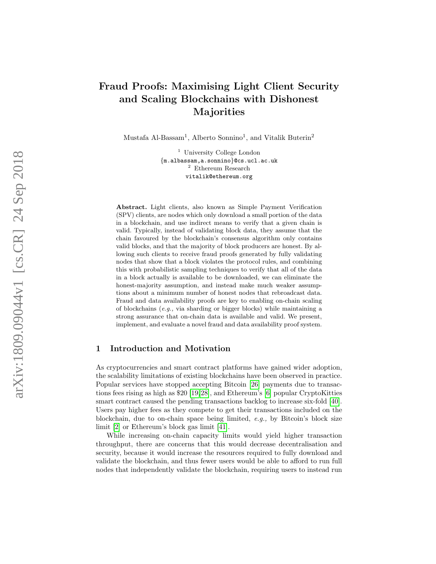# Fraud Proofs: Maximising Light Client Security and Scaling Blockchains with Dishonest Majorities

Mustafa Al-Bassam<sup>1</sup>, Alberto Sonnino<sup>1</sup>, and Vitalik Buterin<sup>2</sup>

<sup>1</sup> University College London {m.albassam,a.sonnino }@cs.ucl.ac.uk <sup>2</sup> Ethereum Research vitalik@ethereum.org

Abstract. Light clients, also known as Simple Payment Verification (SPV) clients, are nodes which only download a small portion of the data in a blockchain, and use indirect means to verify that a given chain is valid. Typically, instead of validating block data, they assume that the chain favoured by the blockchain's consensus algorithm only contains valid blocks, and that the majority of block producers are honest. By allowing such clients to receive fraud proofs generated by fully validating nodes that show that a block violates the protocol rules, and combining this with probabilistic sampling techniques to verify that all of the data in a block actually is available to be downloaded, we can eliminate the honest-majority assumption, and instead make much weaker assumptions about a minimum number of honest nodes that rebroadcast data. Fraud and data availability proofs are key to enabling on-chain scaling of blockchains (e.g., via sharding or bigger blocks) while maintaining a strong assurance that on-chain data is available and valid. We present, implement, and evaluate a novel fraud and data availability proof system.

## 1 Introduction and Motivation

As cryptocurrencies and smart contract platforms have gained wider adoption, the scalability limitations of existing blockchains have been observed in practice. Popular services have stopped accepting Bitcoin [\[26\]](#page-30-0) payments due to transactions fees rising as high as \$20 [\[19,](#page-29-0)[28\]](#page-30-1), and Ethereum's [\[6\]](#page-28-0) popular CryptoKitties smart contract caused the pending transactions backlog to increase six-fold [\[40\]](#page-30-2). Users pay higher fees as they compete to get their transactions included on the blockchain, due to on-chain space being limited, e.g., by Bitcoin's block size limit [\[2\]](#page-28-1) or Ethereum's block gas limit [\[41\]](#page-30-3).

While increasing on-chain capacity limits would yield higher transaction throughput, there are concerns that this would decrease decentralisation and security, because it would increase the resources required to fully download and validate the blockchain, and thus fewer users would be able to afford to run full nodes that independently validate the blockchain, requiring users to instead run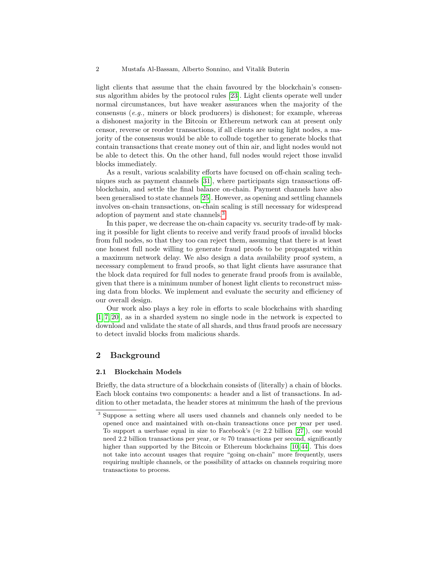light clients that assume that the chain favoured by the blockchain's consensus algorithm abides by the protocol rules [\[23\]](#page-30-4). Light clients operate well under normal circumstances, but have weaker assurances when the majority of the consensus (e.g., miners or block producers) is dishonest; for example, whereas a dishonest majority in the Bitcoin or Ethereum network can at present only censor, reverse or reorder transactions, if all clients are using light nodes, a majority of the consensus would be able to collude together to generate blocks that contain transactions that create money out of thin air, and light nodes would not be able to detect this. On the other hand, full nodes would reject those invalid blocks immediately.

As a result, various scalability efforts have focused on off-chain scaling techniques such as payment channels [\[31\]](#page-30-5), where participants sign transactions offblockchain, and settle the final balance on-chain. Payment channels have also been generalised to state channels [\[25\]](#page-30-6). However, as opening and settling channels involves on-chain transactions, on-chain scaling is still necessary for widespread adoption of payment and state channels.[3](#page-1-0)

In this paper, we decrease the on-chain capacity vs. security trade-off by making it possible for light clients to receive and verify fraud proofs of invalid blocks from full nodes, so that they too can reject them, assuming that there is at least one honest full node willing to generate fraud proofs to be propagated within a maximum network delay. We also design a data availability proof system, a necessary complement to fraud proofs, so that light clients have assurance that the block data required for full nodes to generate fraud proofs from is available, given that there is a minimum number of honest light clients to reconstruct missing data from blocks. We implement and evaluate the security and efficiency of our overall design.

Our work also plays a key role in efforts to scale blockchains with sharding [\[1,](#page-28-2) [7,](#page-29-1) [20\]](#page-29-2), as in a sharded system no single node in the network is expected to download and validate the state of all shards, and thus fraud proofs are necessary to detect invalid blocks from malicious shards.

## 2 Background

## 2.1 Blockchain Models

Briefly, the data structure of a blockchain consists of (literally) a chain of blocks. Each block contains two components: a header and a list of transactions. In addition to other metadata, the header stores at minimum the hash of the previous

<span id="page-1-0"></span><sup>3</sup> Suppose a setting where all users used channels and channels only needed to be opened once and maintained with on-chain transactions once per year per used. To support a userbase equal in size to Facebook's ( $\approx 2.2$  billion [\[27\]](#page-30-7)), one would need 2.2 billion transactions per year, or  $\approx 70$  transactions per second, significantly higher than supported by the Bitcoin or Ethereum blockchains [\[10,](#page-29-3) [44\]](#page-31-0). This does not take into account usages that require "going on-chain" more frequently, users requiring multiple channels, or the possibility of attacks on channels requiring more transactions to process.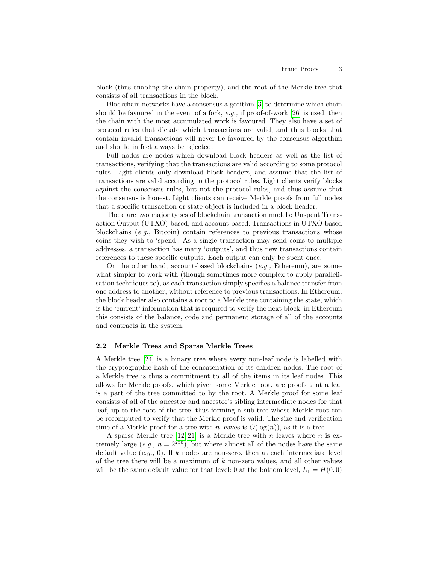block (thus enabling the chain property), and the root of the Merkle tree that consists of all transactions in the block.

Blockchain networks have a consensus algorithm [\[3\]](#page-28-3) to determine which chain should be favoured in the event of a fork,  $e.g.,$  if proof-of-work [\[26\]](#page-30-0) is used, then the chain with the most accumulated work is favoured. They also have a set of protocol rules that dictate which transactions are valid, and thus blocks that contain invalid transactions will never be favoured by the consensus algorthim and should in fact always be rejected.

Full nodes are nodes which download block headers as well as the list of transactions, verifying that the transactions are valid according to some protocol rules. Light clients only download block headers, and assume that the list of transactions are valid according to the protocol rules. Light clients verify blocks against the consensus rules, but not the protocol rules, and thus assume that the consensus is honest. Light clients can receive Merkle proofs from full nodes that a specific transaction or state object is included in a block header.

There are two major types of blockchain transaction models: Unspent Transaction Output (UTXO)-based, and account-based. Transactions in UTXO-based blockchains  $(e.g., \text{ Bitcoin})$  contain references to previous transactions whose coins they wish to 'spend'. As a single transaction may send coins to multiple addresses, a transaction has many 'outputs', and thus new transactions contain references to these specific outputs. Each output can only be spent once.

On the other hand, account-based blockchains  $(e.g., Ethereum)$ , are somewhat simpler to work with (though sometimes more complex to apply parallelisation techniques to), as each transaction simply specifies a balance transfer from one address to another, without reference to previous transactions. In Ethereum, the block header also contains a root to a Merkle tree containing the state, which is the 'current' information that is required to verify the next block; in Ethereum this consists of the balance, code and permanent storage of all of the accounts and contracts in the system.

### 2.2 Merkle Trees and Sparse Merkle Trees

A Merkle tree [\[24\]](#page-30-8) is a binary tree where every non-leaf node is labelled with the cryptographic hash of the concatenation of its children nodes. The root of a Merkle tree is thus a commitment to all of the items in its leaf nodes. This allows for Merkle proofs, which given some Merkle root, are proofs that a leaf is a part of the tree committed to by the root. A Merkle proof for some leaf consists of all of the ancestor and ancestor's sibling intermediate nodes for that leaf, up to the root of the tree, thus forming a sub-tree whose Merkle root can be recomputed to verify that the Merkle proof is valid. The size and verification time of a Merkle proof for a tree with n leaves is  $O(log(n))$ , as it is a tree.

A sparse Merkle tree  $[12, 21]$  $[12, 21]$  is a Merkle tree with n leaves where n is extremely large (e.g.,  $n = 2^{256}$ ), but where almost all of the nodes have the same default value  $(e,q, 0)$ . If k nodes are non-zero, then at each intermediate level of the tree there will be a maximum of  $k$  non-zero values, and all other values will be the same default value for that level: 0 at the bottom level,  $L_1 = H(0,0)$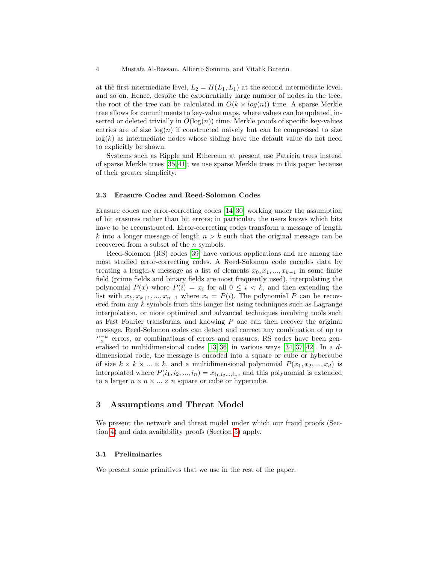at the first intermediate level,  $L_2 = H(L_1, L_1)$  at the second intermediate level, and so on. Hence, despite the exponentially large number of nodes in the tree, the root of the tree can be calculated in  $O(k \times log(n))$  time. A sparse Merkle tree allows for commitments to key-value maps, where values can be updated, inserted or deleted trivially in  $O(\log(n))$  time. Merkle proofs of specific key-values entries are of size  $log(n)$  if constructed naively but can be compressed to size  $log(k)$  as intermediate nodes whose sibling have the default value do not need to explicitly be shown.

Systems such as Ripple and Ethereum at present use Patricia trees instead of sparse Merkle trees [\[35,](#page-30-9) [41\]](#page-30-3); we use sparse Merkle trees in this paper because of their greater simplicity.

### <span id="page-3-0"></span>2.3 Erasure Codes and Reed-Solomon Codes

Erasure codes are error-correcting codes [\[14,](#page-29-6) [30\]](#page-30-10) working under the assumption of bit erasures rather than bit errors; in particular, the users knows which bits have to be reconstructed. Error-correcting codes transform a message of length k into a longer message of length  $n > k$  such that the original message can be recovered from a subset of the *n* symbols.

Reed-Solomon (RS) codes [\[39\]](#page-30-11) have various applications and are among the most studied error-correcting codes. A Reed-Solomon code encodes data by treating a length-k message as a list of elements  $x_0, x_1, ..., x_{k-1}$  in some finite field (prime fields and binary fields are most frequently used), interpolating the polynomial  $P(x)$  where  $P(i) = x_i$  for all  $0 \leq i \leq k$ , and then extending the list with  $x_k, x_{k+1}, ..., x_{n-1}$  where  $x_i = P(i)$ . The polynomial P can be recovered from any  $k$  symbols from this longer list using techniques such as Lagrange interpolation, or more optimized and advanced techniques involving tools such as Fast Fourier transforms, and knowing  $P$  one can then recover the original message. Reed-Solomon codes can detect and correct any combination of up to  $\frac{n-k}{2}$  errors, or combinations of errors and erasures. RS codes have been generalised to multidimensional codes  $[13, 36]$  $[13, 36]$  in various ways  $[34, 37, 42]$  $[34, 37, 42]$  $[34, 37, 42]$ . In a ddimensional code, the message is encoded into a square or cube or hybercube of size  $k \times k \times \ldots \times k$ , and a multidimensional polynomial  $P(x_1, x_2, \ldots, x_d)$  is interpolated where  $P(i_1, i_2, ..., i_n) = x_{i_1, i_2, ..., i_n}$ , and this polynomial is extended to a larger  $n \times n \times ... \times n$  square or cube or hypercube.

## 3 Assumptions and Threat Model

We present the network and threat model under which our fraud proofs (Section [4\)](#page-6-0) and data availability proofs (Section [5\)](#page-10-0) apply.

## 3.1 Preliminaries

We present some primitives that we use in the rest of the paper.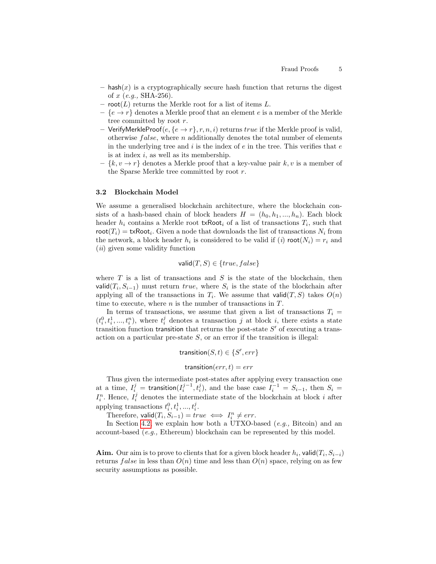- $-$  hash $(x)$  is a cryptographically secure hash function that returns the digest of  $x$  (e.g., SHA-256).
- root( $L$ ) returns the Merkle root for a list of items  $L$ .
- $\{e \rightarrow r\}$  denotes a Merkle proof that an element e is a member of the Merkle tree committed by root r.
- VerifyMerkleProof $(e, \{e \rightarrow r\}, r, n, i)$  returns  $true$  if the Merkle proof is valid, otherwise  $false$ , where n additionally denotes the total number of elements in the underlying tree and  $i$  is the index of  $e$  in the tree. This verifies that  $e$ is at index  $i$ , as well as its membership.
- $\{k, v \to r\}$  denotes a Merkle proof that a key-value pair k, v is a member of the Sparse Merkle tree committed by root  $r$ .

### <span id="page-4-0"></span>3.2 Blockchain Model

We assume a generalised blockchain architecture, where the blockchain consists of a hash-based chain of block headers  $H = (h_0, h_1, ..., h_n)$ . Each block header  $h_i$  contains a Merkle root  $txRoot_i$  of a list of transactions  $T_i$ , such that  $\text{root}(T_i) = \text{txRoot}_i$ . Given a node that downloads the list of transactions  $N_i$  from the network, a block header  $h_i$  is considered to be valid if (*i*)  $\text{root}(N_i) = r_i$  and  $(ii)$  given some validity function

$$
\mathsf{valid}(T, S) \in \{true, false\}
$$

where  $T$  is a list of transactions and  $S$  is the state of the blockchain, then valid $(T_i, S_{i-1})$  must return true, where  $S_i$  is the state of the blockchain after applying all of the transactions in  $T_i$ . We assume that valid $(T, S)$  takes  $O(n)$ time to execute, where  $n$  is the number of transactions in  $T$ .

In terms of transactions, we assume that given a list of transactions  $T_i =$  $(t_i^0, t_i^1, ..., t_i^n)$ , where  $t_i^j$  denotes a transaction j at block i, there exists a state transition function transition that returns the post-state  $S'$  of executing a transaction on a particular pre-state  $S$ , or an error if the transition is illegal:

$$
transition(S, t) \in \{S', err\}
$$

$$
transition(err, t) = err
$$

Thus given the intermediate post-states after applying every transaction one at a time,  $I_i^j = \text{transition}(I_i^{j-1}, t_i^j)$ , and the base case  $I_i^{-1} = S_{i-1}$ , then  $S_i =$  $I_i^n$ . Hence,  $I_i^j$  denotes the intermediate state of the blockchain at block i after applying transactions  $t_i^0, t_i^1, ..., t_i^j$ .

Therefore,  $\text{valid}(T_i, S_{i-1}) = true \iff I_i^n \neq err.$ 

In Section [4.2,](#page-7-0) we explain how both a UTXO-based (e.g., Bitcoin) and an account-based (e.g., Ethereum) blockchain can be represented by this model.

**Aim.** Our aim is to prove to clients that for a given block header  $h_i$ , valid $(T_i, S_{i-i})$ returns false in less than  $O(n)$  time and less than  $O(n)$  space, relying on as few security assumptions as possible.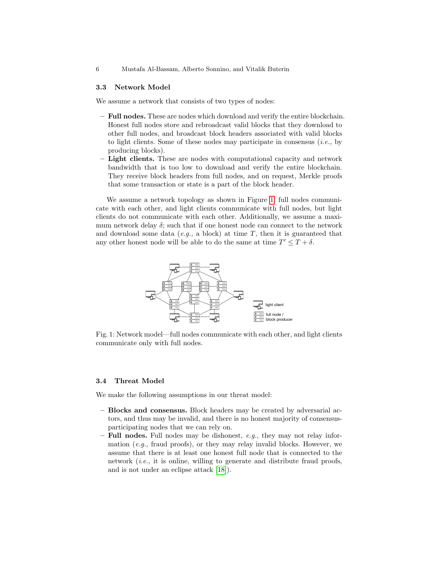### 3.3 Network Model

We assume a network that consists of two types of nodes:

- Full nodes. These are nodes which download and verify the entire blockchain. Honest full nodes store and rebroadcast valid blocks that they download to other full nodes, and broadcast block headers associated with valid blocks to light clients. Some of these nodes may participate in consensus  $(i.e.,$  by producing blocks).
- Light clients. These are nodes with computational capacity and network bandwidth that is too low to download and verify the entire blockchain. They receive block headers from full nodes, and on request, Merkle proofs that some transaction or state is a part of the block header.

We assume a network topology as shown in Figure [1;](#page-5-0) full nodes communicate with each other, and light clients communicate with full nodes, but light clients do not communicate with each other. Additionally, we assume a maximum network delay  $\delta$ ; such that if one honest node can connect to the network and download some data  $(e.g., a block)$  at time  $T$ , then it is guaranteed that any other honest node will be able to do the same at time  $T' \leq T + \delta$ .  $\!$  communicate with each nunicate with each other. Addition  $t$  node will be able to do the same at  $\overline{t}$ hat if one honest node can q., a block) at time  $T$ , t  $\stackrel{\text{\normalsize{a}}}{{\text{\normalsize{b}}}}$  able to do the same at data (e.g., a block) at time T, then it is guaranteed to the state of the state of the state of the state of  $T$ , then it is guaranteed to state of the state of the state of the state of the state of the state of the stat will be able to do the same at time  $T' \leq T +$  $\delta;$  such that if one honest nod

<span id="page-5-0"></span>

nodel—full nodes commu communicate only with full nodes. model—full nodes commu odes communicate with ea -full nodes communicate with e Fig. 1: Overview of the architecture of a fraud proof system at a network level. Fig. 1: Network model—full nodes communicate with each other, and light clients

### 3.4 Threat Model

We make the following assumptions in our threat model:

- Blocks and consensus. Block headers may be created by adversarial actors, and thus may be invalid, and there is no honest majority of consensusparticipating nodes that we can rely on.
- $-$  Full nodes. Full nodes may be dishonest, e.g., they may not relay information (e.g., fraud proofs), or they may relay invalid blocks. However, we assume that there is at least one honest full node that is connected to the network (i.e., it is online, willing to generate and distribute fraud proofs, and is not under an eclipse attack [\[18\]](#page-29-8)).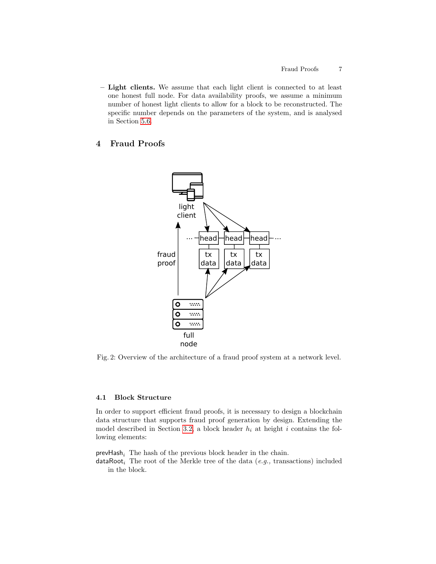– Light clients. We assume that each light client is connected to at least one honest full node. For data availability proofs, we assume a minimum number of honest light clients to allow for a block to be reconstructed. The specific number depends on the parameters of the system, and is analysed in Section [5.6.](#page-16-0)

## <span id="page-6-0"></span>4 Fraud Proofs



Fig. 2: Overview of the architecture of a fraud proof system at a network level.

## 4.1 Block Structure

In order to support efficient fraud proofs, it is necessary to design a blockchain data structure that supports fraud proof generation by design. Extending the model described in Section [3.2,](#page-4-0) a block header  $h_i$  at height i contains the following elements:

 $prevHash_i$  The hash of the previous block header in the chain.

 $dataRoot<sub>i</sub>$  The root of the Merkle tree of the data (e.g., transactions) included in the block.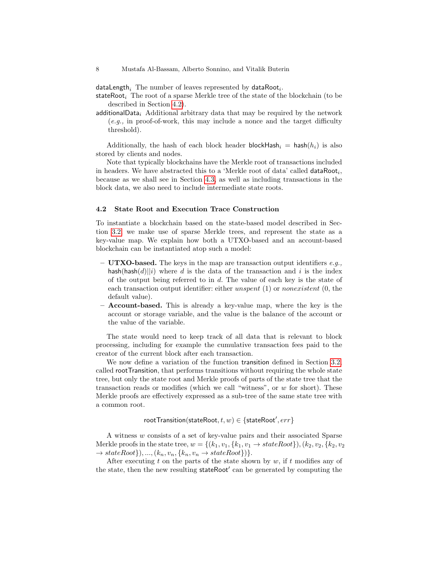$\mathsf{dataLength}_i$  The number of leaves represented by  $\mathsf{dataRoot}_i.$ 

stateRoot<sub>i</sub> The root of a sparse Merkle tree of the state of the blockchain (to be described in Section [4.2\)](#page-7-0).

additionalData<sub>i</sub> Additional arbitrary data that may be required by the network (e.g., in proof-of-work, this may include a nonce and the target difficulty threshold).

Additionally, the hash of each block header blockHash<sub>i</sub> = hash( $h_i$ ) is also stored by clients and nodes.

Note that typically blockchains have the Merkle root of transactions included in headers. We have abstracted this to a 'Merkle root of data' called  $dataRoot<sub>i</sub>$ , because as we shall see in Section [4.3,](#page-8-0) as well as including transactions in the block data, we also need to include intermediate state roots.

### <span id="page-7-0"></span>4.2 State Root and Execution Trace Construction

To instantiate a blockchain based on the state-based model described in Section [3.2,](#page-4-0) we make use of sparse Merkle trees, and represent the state as a key-value map. We explain how both a UTXO-based and an account-based blockchain can be instantiated atop such a model:

- UTXO-based. The keys in the map are transaction output identifiers  $e.g.,$ hash(hash $(d)||i)$ ) where d is the data of the transaction and i is the index of the output being referred to in  $d$ . The value of each key is the state of each transaction output identifier: either unspent  $(1)$  or nonexistent  $(0,$  the default value).
- Account-based. This is already a key-value map, where the key is the account or storage variable, and the value is the balance of the account or the value of the variable.

The state would need to keep track of all data that is relevant to block processing, including for example the cumulative transaction fees paid to the creator of the current block after each transaction.

We now define a variation of the function transition defined in Section [3.2,](#page-4-0) called rootTransition, that performs transitions without requiring the whole state tree, but only the state root and Merkle proofs of parts of the state tree that the transaction reads or modifies (which we call "witness", or w for short). These Merkle proofs are effectively expressed as a sub-tree of the same state tree with a common root.

rootTransition(stateRoot,  $t,w) \in \{\textsf{stateRoot}', err\}$ 

A witness w consists of a set of key-value pairs and their associated Sparse Merkle proofs in the state tree,  $w = \{(k_1, v_1, \{k_1, v_1 \rightarrow stateRoot\}), (k_2, v_2, \{k_2, v_2, \{k_3, v_3\})\}$  $\rightarrow stateRoot\},..., (k_n, v_n, \{k_n, v_n \rightarrow stateRoot\})$ .

After executing t on the parts of the state shown by  $w$ , if t modifies any of the state, then the new resulting stateRoot' can be generated by computing the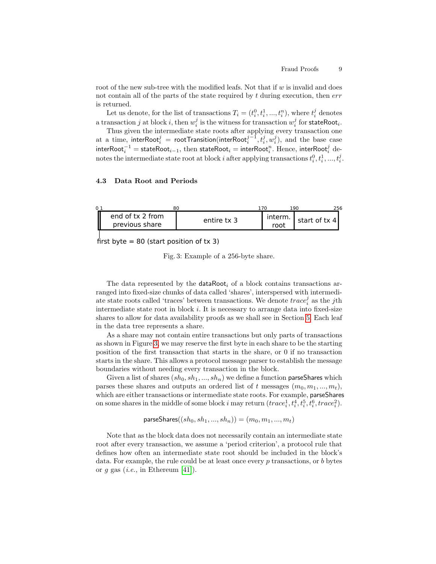root of the new sub-tree with the modified leafs. Not that if  $w$  is invalid and does not contain all of the parts of the state required by  $t$  during execution, then  $err$ is returned.

Let us denote, for the list of transactions  $T_i = (t_i^0, t_i^1, ..., t_i^n)$ , where  $t_i^j$  denotes a transaction  $j$  at block  $i$ , then  $w_i^j$  is the witness for transaction  $w_i^j$  for stateRoot $_i$ .

Thus given the intermediate state roots after applying every transaction one at a time, interRoot $i^j = \text{root}$ Transition(interRoot $i^{j-1}, t_i^j, w_i^j$ ), and the base case interRoot $_i^{-1} = \mathsf{stateRoot}_{i-1}, \text{ then } \mathsf{stateRoot}_i = \mathsf{interRoot}_i^n.$  Hence,  $\mathsf{interRoot}_i^j$  denotes the intermediate state root at block i after applying transactions  $t_i^0, t_i^1, ..., t_i^j$ .

## <span id="page-8-0"></span>4.3 Data Root and Periods

<span id="page-8-1"></span>

first byte  $= 80$  (start position of tx 3)

Fig. 3: Example of a 256-byte share.

The data represented by the **dataRoot** of a block contains transactions arranged into fixed-size chunks of data called 'shares', interspersed with intermediate state roots called 'traces' between transactions. We denote  $trace_i^j$  as the j<sup>th</sup> intermediate state root in block  $i$ . It is necessary to arrange data into fixed-size shares to allow for data availability proofs as we shall see in Section [5.](#page-10-0) Each leaf in the data tree represents a share.

As a share may not contain entire transactions but only parts of transactions as shown in Figure [3,](#page-8-1) we may reserve the first byte in each share to be the starting position of the first transaction that starts in the share, or 0 if no transaction starts in the share. This allows a protocol message parser to establish the message boundaries without needing every transaction in the block.

Given a list of shares  $(sh_0, sh_1, ..., sh_n)$  we define a function parseShares which parses these shares and outputs an ordered list of t messages  $(m_0, m_1, ..., m_t)$ , which are either transactions or intermediate state roots. For example, parseShares on some shares in the middle of some block i may return  $(trace_i^1, t_i^4, t_i^5, t_i^6, trace_i^2)$ .

parseShares( $(sh_0, sh_1, ..., sh_n)$ ) =  $(m_0, m_1, ..., m_t)$ 

Note that as the block data does not necessarily contain an intermediate state root after every transaction, we assume a 'period criterion', a protocol rule that defines how often an intermediate state root should be included in the block's data. For example, the rule could be at least once every  $p$  transactions, or  $b$  bytes or  $g$  gas (*i.e.*, in Ethereum [\[41\]](#page-30-3)).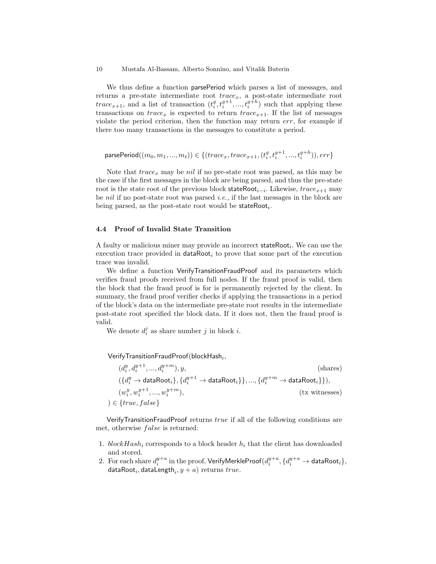We thus define a function **parsePeriod** which parses a list of messages, and returns a pre-state intermediate root  $trace_x$ , a post-state intermediate root  $trace_{x+1}$ , and a list of transaction  $(t_i^g, t_i^{g+1}, ..., t_i^{g+h})$  such that applying these transactions on  $trace_x$  is expected to return  $trace_{x+1}$ . If the list of messages violate the period criterion, then the function may return err, for example if there too many transactions in the messages to constitute a period.

$$
\text{parsePeriod}((m_0, m_1, ..., m_t)) \in \{(trace_x, trace_{x+1}, (t_i^g, t_i^{g+1}, ..., t_i^{g+h})), err\}
$$

Note that  $trace_x$  may be *nil* if no pre-state root was parsed, as this may be the case if the first messages in the block are being parsed, and thus the pre-state root is the state root of the previous block stateRoot<sub>i−i</sub>. Likewise,  $trace_{x+1}$  may be nil if no post-state root was parsed *i.e.*, if the last messages in the block are being parsed, as the post-state root would be stateRoot $_i$ .

### 4.4 Proof of Invalid State Transition

A faulty or malicious miner may provide an incorrect stateRoot<sub>i</sub>. We can use the execution trace provided in  $dataRoot<sub>i</sub>$  to prove that some part of the execution trace was invalid.

We define a function VerifyTransitionFraudProof and its parameters which verifies fraud proofs received from full nodes. If the fraud proof is valid, then the block that the fraud proof is for is permanently rejected by the client. In summary, the fraud proof verifier checks if applying the transactions in a period of the block's data on the intermediate pre-state root results in the intermediate post-state root specified the block data. If it does not, then the fraud proof is valid.

We denote  $d_i^j$  as share number j in block i.

## ${\sf VerifyTransitionFraudProof} ({\sf blockHash}_i,$

$$
(d_i^y, d_i^{y+1}, \dots, d_i^{y+m}), y,
$$
\n
$$
(\{d_i^y \to \text{dataRoot}_i\}, \{d_i^{y+1} \to \text{dataRoot}_i\}), \dots, \{d_i^{y+m} \to \text{dataRoot}_i\}),
$$
\n
$$
(w_i^y, w_i^{y+1}, \dots, w_i^{y+m}),
$$
\n
$$
(\text{tx witnesses})
$$
\n
$$
(\text{true}, \text{false})
$$
\n
$$
(x, \text{witnesses})
$$

VerifyTransitionFraudProof returns true if all of the following conditions are met, otherwise *false* is returned:

- 1. blockHash<sub>i</sub> corresponds to a block header  $h_i$  that the client has downloaded and stored.
- 2. For each share  $d^{y+a}_i$  in the proof,  $\mathsf{VerifyMerkleProof} (d^{y+a}_i, \{d^{y+a}_i \rightarrow \mathsf{dataRoot}_i\},$ dataRoot $_i$ , dataLength $_i, y + a)$  returns  $true$ .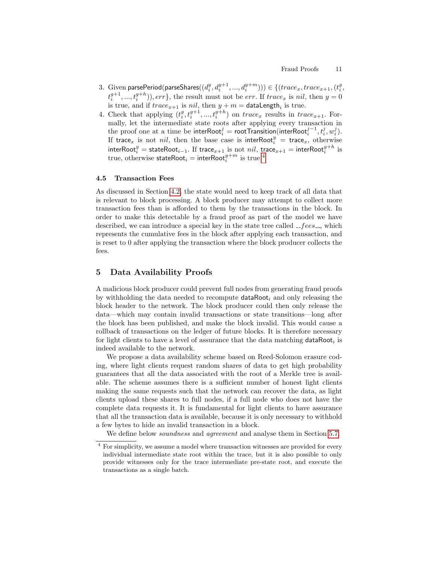- 3. Given parsePeriod(parseShares( $(d_i^y, d_i^{y+1}, ..., d_i^{y+m}))$ ) $\in \{ (trace_x, trace_{x+1}, (t_i^g,$  $t_i^{g+1},..., t_i^{g+h})$ ),  $err$ }, the result must not be  $err$ . If  $trace_x$  is nil, then  $y = 0$ is true, and if  $trace_{x+1}$  is  $nil$ , then  $y+m =$  dataLength<sub>i</sub> is true.
- 4. Check that applying  $(t_i^g, t_i^{g+1}, ..., t_i^{g+h})$  on  $trace_x$  results in  $trace_{x+1}$ . Formally, let the intermediate state roots after applying every transaction in the proof one at a time be interRoot $_i^j =$  rootTransition(interRoot $_i^{j-1}, t_i^j, w_i^j$ ). If trace<sub>x</sub> is not *nil*, then the base case is interRoot $_i^y$  = trace<sub>x</sub>, otherwise  $\textsf{interRoot}^y_i = \textsf{stateRoot}_{i-1}. \text{ If } \textsf{trace}_{x+1} \text{ is not } nil, \text{ trace}_{x+1} = \textsf{interRoot}^{g+h}_i \text{ is }$ true, otherwise stateRoot $_i =$  interRoot $_i^{y+m}$  is true.<sup>[4](#page-10-1)</sup>

#### 4.5 Transaction Fees

As discussed in Section [4.2,](#page-7-0) the state would need to keep track of all data that is relevant to block processing. A block producer may attempt to collect more transaction fees than is afforded to them by the transactions in the block. In order to make this detectable by a fraud proof as part of the model we have described, we can introduce a special key in the state tree called  $_{-}fees_{-}$ , which represents the cumulative fees in the block after applying each transaction, and is reset to 0 after applying the transaction where the block producer collects the fees.

## <span id="page-10-0"></span>5 Data Availability Proofs

A malicious block producer could prevent full nodes from generating fraud proofs by withholding the data needed to recompute  $dataRoot<sub>i</sub>$  and only releasing the block header to the network. The block producer could then only release the data—which may contain invalid transactions or state transitions—long after the block has been published, and make the block invalid. This would cause a rollback of transactions on the ledger of future blocks. It is therefore necessary for light clients to have a level of assurance that the data matching  $dataRoot<sub>i</sub>$  is indeed available to the network.

We propose a data availability scheme based on Reed-Solomon erasure coding, where light clients request random shares of data to get high probability guarantees that all the data associated with the root of a Merkle tree is available. The scheme assumes there is a sufficient number of honest light clients making the same requests such that the network can recover the data, as light clients upload these shares to full nodes, if a full node who does not have the complete data requests it. It is fundamental for light clients to have assurance that all the transaction data is available, because it is only necessary to withhold a few bytes to hide an invalid transaction in a block.

<span id="page-10-2"></span>We define below *soundness* and *agreement* and analyse them in Section [5.7.](#page-22-0)

<span id="page-10-1"></span><sup>4</sup> For simplicity, we assume a model where transaction witnesses are provided for every individual intermediate state root within the trace, but it is also possible to only provide witnesses only for the trace intermediate pre-state root, and execute the transactions as a single batch.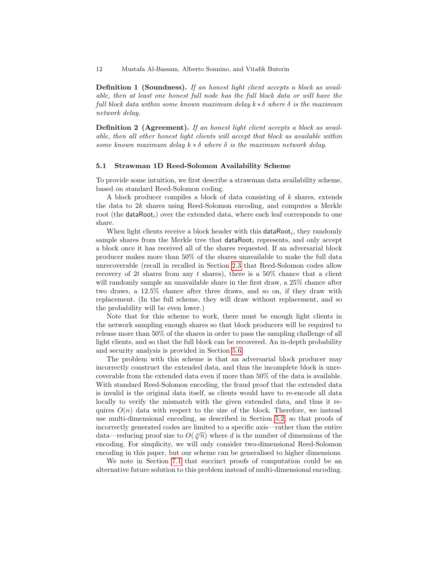Definition 1 (Soundness). If an honest light client accepts a block as available, then at least one honest full node has the full block data or will have the full block data within some known maximum delay  $k * \delta$  where  $\delta$  is the maximum network delay.

<span id="page-11-0"></span>Definition 2 (Agreement). If an honest light client accepts a block as available, then all other honest light clients will accept that block as available within some known maximum delay  $k * \delta$  where  $\delta$  is the maximum network delay.

#### 5.1 Strawman 1D Reed-Solomon Availability Scheme

To provide some intuition, we first describe a strawman data availability scheme, based on standard Reed-Solomon coding.

A block producer compiles a block of data consisting of k shares, extends the data to 2k shares using Reed-Solomon encoding, and computes a Merkle root (the **dataRoot**<sub>i</sub>) over the extended data, where each leaf corresponds to one share.

When light clients receive a block header with this  $dataRoot<sub>i</sub>$ , they randomly sample shares from the Merkle tree that dataRoot; represents, and only accept a block once it has received all of the shares requested. If an adversarial block producer makes more than 50% of the shares unavailable to make the full data unrecoverable (recall in recalled in Section [2.3](#page-3-0) that Reed-Solomon codes allow recovery of 2t shares from any t shares), there is a  $50\%$  chance that a client will randomly sample an unavailable share in the first draw, a  $25\%$  chance after two draws, a 12.5% chance after three draws, and so on, if they draw with replacement. (In the full scheme, they will draw without replacement, and so the probability will be even lower.)

Note that for this scheme to work, there must be enough light clients in the network sampling enough shares so that block producers will be required to release more than 50% of the shares in order to pass the sampling challenge of all light clients, and so that the full block can be recovered. An in-depth probability and security analysis is provided in Section [5.6.](#page-16-0)

The problem with this scheme is that an adversarial block producer may incorrectly construct the extended data, and thus the incomplete block is unrecoverable from the extended data even if more than 50% of the data is available. With standard Reed-Solomon encoding, the fraud proof that the extended data is invalid is the original data itself, as clients would have to re-encode all data locally to verify the mismatch with the given extended data, and thus it requires  $O(n)$  data with respect to the size of the block. Therefore, we instead use multi-dimensional encoding, as described in Section [5.2,](#page-12-0) so that proofs of incorrectly generated codes are limited to a specific axis—rather than the entire data—reducing proof size to  $O(\sqrt[d]{n})$  where d is the number of dimensions of the encoding. For simplicity, we will only consider two-dimensional Reed-Solomon encoding in this paper, but our scheme can be generalised to higher dimensions.

We note in Section [7.1](#page-26-0) that succinct proofs of computation could be an alternative future solution to this problem instead of multi-dimensional encoding.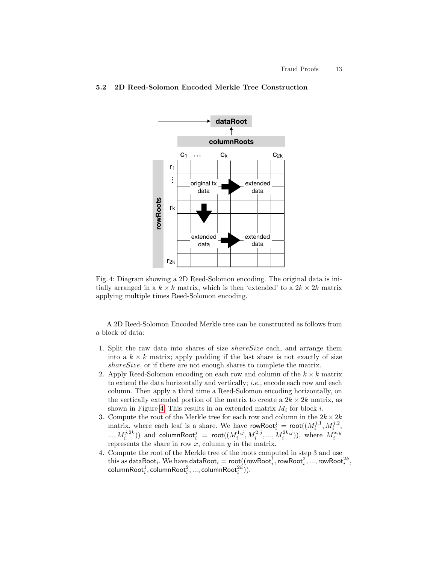## **dataRoot columnRoots**  $C_1$  ...  $C_k$   $C_{2k}$ … r1 ŧ …original tx extended data data rowRoots **rowRoots** rk extended extended data data r2k

## <span id="page-12-1"></span><span id="page-12-0"></span>5.2 2D Reed-Solomon Encoded Merkle Tree Construction

Fig. 4: Diagram showing a 2D Reed-Solomon encoding. The original data is initially arranged in a  $k \times k$  matrix, which is then 'extended' to a  $2k \times 2k$  matrix applying multiple times Reed-Solomon encoding.

A 2D Reed-Solomon Encoded Merkle tree can be constructed as follows from a block of data:

- 1. Split the raw data into shares of size shareSize each, and arrange them into a  $k \times k$  matrix; apply padding if the last share is not exactly of size share Size, or if there are not enough shares to complete the matrix.
- 2. Apply Reed-Solomon encoding on each row and column of the  $k \times k$  matrix to extend the data horizontally and vertically; i.e., encode each row and each column. Then apply a third time a Reed-Solomon encoding horizontally, on the vertically extended portion of the matrix to create a  $2k \times 2k$  matrix, as shown in Figure [4.](#page-12-1) This results in an extended matrix  $M_i$  for block i.
- 3. Compute the root of the Merkle tree for each row and column in the  $2k \times 2k$ matrix, where each leaf is a share. We have rowRoot $_i^j = \text{root}((M_i^{j,1}, M_i^{j,2},$ ...,  $M_i^{j,2k}))$  and columnRoot $_i^j = {\sf root}((M_i^{1,j}, M_i^{2,j}, ..., M_i^{2k,j})),$  where  $M_i^{x,y}$ represents the share in row  $x$ , column  $y$  in the matrix.
- 4. Compute the root of the Merkle tree of the roots computed in step 3 and use this as dataRoot $_i$  . We have dataRoot $_i = \mathsf{root}((\mathsf{rowRoot}_i^1, \mathsf{rowRoot}_i^2, ..., \mathsf{rowRoot}_i^{2k},$  $\mathsf{columnRoot}^1_i, \mathsf{columnRoot}^2_i, ..., \mathsf{columnRoot}^{2k}_i)).$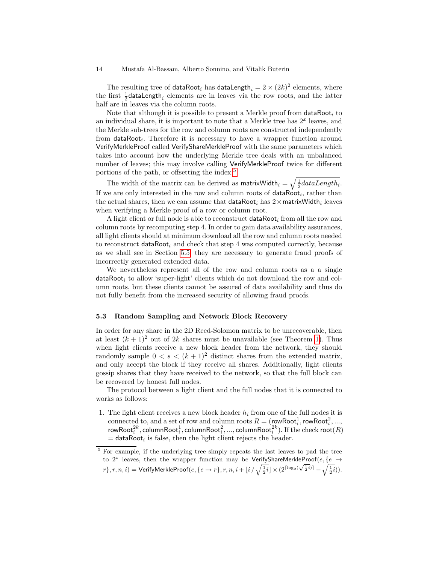The resulting tree of dataRoot<sub>i</sub> has dataLength<sub>i</sub> =  $2 \times (2k)^2$  elements, where the first  $\frac{1}{2}$ dataLength<sub>i</sub> elements are in leaves via the row roots, and the latter half are in leaves via the column roots.

Note that although it is possible to present a Merkle proof from  $dataRoot<sub>i</sub>$  to an individual share, it is important to note that a Merkle tree has  $2<sup>x</sup>$  leaves, and the Merkle sub-trees for the row and column roots are constructed independently from dataRoot<sub>i</sub>. Therefore it is necessary to have a wrapper function around VerifyMerkleProof called VerifyShareMerkleProof with the same parameters which takes into account how the underlying Merkle tree deals with an unbalanced number of leaves; this may involve calling VerifyMerkleProof twice for different portions of the path, or offsetting the index.[5](#page-13-0)

The width of the matrix can be derived as matrix Width  $i = \sqrt{\frac{1}{2}dataLength_i}$ . If we are only interested in the row and column roots of  $dataRoot<sub>i</sub>$ , rather than the actual shares, then we can assume that  $\mathsf{dataRoot}_i$  has  $2\times \mathsf{matrixWidth}_i$  leaves when verifying a Merkle proof of a row or column root.

A light client or full node is able to reconstruct  $dataRoot<sub>i</sub>$  from all the row and column roots by recomputing step 4. In order to gain data availability assurances, all light clients should at minimum download all the row and column roots needed to reconstruct dataRoot<sub>i</sub> and check that step 4 was computed correctly, because as we shall see in Section [5.5,](#page-15-0) they are necessary to generate fraud proofs of incorrectly generated extended data.

We nevertheless represent all of the row and column roots as a a single  $dataRoot<sub>i</sub>$  to allow 'super-light' clients which do not download the row and column roots, but these clients cannot be assured of data availability and thus do not fully benefit from the increased security of allowing fraud proofs.

### 5.3 Random Sampling and Network Block Recovery

In order for any share in the 2D Reed-Solomon matrix to be unrecoverable, then at least  $(k + 1)^2$  $(k + 1)^2$  $(k + 1)^2$  out of 2k shares must be unavailable (see Theorem 1). Thus when light clients receive a new block header from the network, they should randomly sample  $0 < s < (k+1)^2$  distinct shares from the extended matrix, and only accept the block if they receive all shares. Additionally, light clients gossip shares that they have received to the network, so that the full block can be recovered by honest full nodes.

The protocol between a light client and the full nodes that it is connected to works as follows:

1. The light client receives a new block header  $h_i$  from one of the full nodes it is connected to, and a set of row and column roots  $R = (\text{rowRoot}_i^1, \text{rowRoot}_i^2, ...,$ rowRoo $\mathsf{t}^{2k}_i,$  columnRoo $\mathsf{t}^1_i,$  columnRoo $\mathsf{t}^2_i, ... ,$  columnRoo $\mathsf{t}^{2k}_i$ ). If the check roo $\mathsf{t}(R)$  $=$  dataRoot<sub>i</sub> is false, then the light client rejects the header.

<span id="page-13-0"></span><sup>5</sup> For example, if the underlying tree simply repeats the last leaves to pad the tree to  $2^x$  leaves, then the wrapper function may be VerifyShareMerkleProof( $e, \{e \rightarrow$ to 2 heaves, then the wrapper function may be verify situative rise root  $(e, \{e \rightarrow r\}, r, n, i + \lfloor i / \sqrt{\frac{1}{2}i} \rfloor \times (2^{\lceil \log_2(\sqrt{\frac{1}{2}i}) \rceil} - \sqrt{\frac{1}{2}i}).$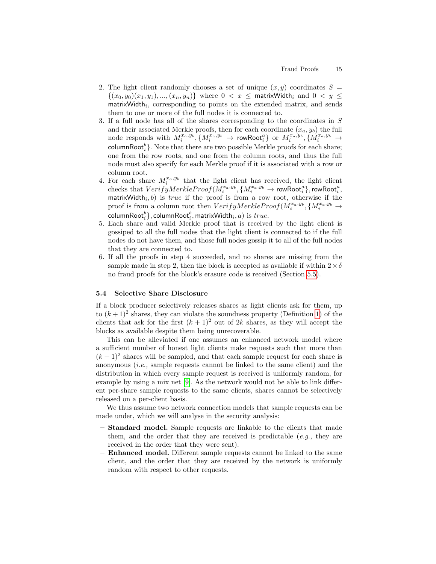- 2. The light client randomly chooses a set of unique  $(x, y)$  coordinates  $S =$  $\{(x_0, y_0)(x_1, y_1), ..., (x_n, y_n)\}\)$  where  $0 < x \leq$  matrix Width, and  $0 < y \leq$  $\text{matrixWidth}_i$ , corresponding to points on the extended matrix, and sends them to one or more of the full nodes it is connected to.
- 3. If a full node has all of the shares corresponding to the coordinates in S and their associated Merkle proofs, then for each coordinate  $(x_a, y_b)$  the full node responds with  $M_i^{x_a, y_b}, \{M_i^{x_a, y_b} \rightarrow \textsf{rowRoot}_i^a\}$  or  $M_i^{x_a, y_b}, \{M_i^{x_a, y_b} \rightarrow \textsf{rowRoot}_i^a\}$  $\mathsf{columnRoot}_i^b\}.$  Note that there are two possible Merkle proofs for each share; one from the row roots, and one from the column roots, and thus the full node must also specify for each Merkle proof if it is associated with a row or column root.
- 4. For each share  $M_i^{x_a, y_b}$  that the light client has received, the light client  $\text{checks that } VerifyMerkleProof(\check{M}^{x_a,y_b}_i, \{M^{x_a,y_b}_i \rightarrow \textsf{rowRoot}^a_i\}, \textsf{rowRoot}^a_i,$ matrix Width, b) is true if the proof is from a row root, otherwise if the proof is from a column root then  $VerifyMerkleProof(M_i^{x_a,y_b}, \{M_i^{x_a,y_b} \rightarrow$ columnRoot $_i^b\},$  columnRoot $_i^b,$  matrixWidth $_i, a)$  is  $\mathit{true}.$
- 5. Each share and valid Merkle proof that is received by the light client is gossiped to all the full nodes that the light client is connected to if the full nodes do not have them, and those full nodes gossip it to all of the full nodes that they are connected to.
- 6. If all the proofs in step 4 succeeded, and no shares are missing from the sample made in step 2, then the block is accepted as available if within  $2 \times \delta$ no fraud proofs for the block's erasure code is received (Section [5.5\)](#page-15-0).

## <span id="page-14-0"></span>5.4 Selective Share Disclosure

If a block producer selectively releases shares as light clients ask for them, up to  $(k+1)^2$  shares, they can violate the soundness property (Definition [1\)](#page-10-2) of the clients that ask for the first  $(k + 1)^2$  out of 2k shares, as they will accept the blocks as available despite them being unrecoverable.

This can be alleviated if one assumes an enhanced network model where a sufficient number of honest light clients make requests such that more than  $(k+1)^2$  shares will be sampled, and that each sample request for each share is anonymous  $(i.e.,$  sample requests cannot be linked to the same client) and the distribution in which every sample request is received is uniformly random, for example by using a mix net [\[9\]](#page-29-9). As the network would not be able to link different per-share sample requests to the same clients, shares cannot be selectively released on a per-client basis.

We thus assume two network connection models that sample requests can be made under, which we will analyse in the security analysis:

- Standard model. Sample requests are linkable to the clients that made them, and the order that they are received is predictable  $(e,q)$ , they are received in the order that they were sent).
- Enhanced model. Different sample requests cannot be linked to the same client, and the order that they are received by the network is uniformly random with respect to other requests.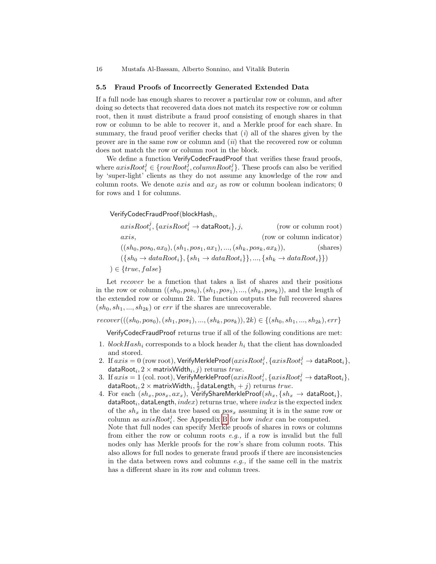#### <span id="page-15-0"></span>5.5 Fraud Proofs of Incorrectly Generated Extended Data

If a full node has enough shares to recover a particular row or column, and after doing so detects that recovered data does not match its respective row or column root, then it must distribute a fraud proof consisting of enough shares in that row or column to be able to recover it, and a Merkle proof for each share. In summary, the fraud proof verifier checks that  $(i)$  all of the shares given by the prover are in the same row or column and  $(ii)$  that the recovered row or column does not match the row or column root in the block.

We define a function VerifyCodecFraudProof that verifies these fraud proofs, where  $axisRoot_i^j \in \{rowRoot_i^j, columnRoot_i^j\}$ . These proofs can also be verified by 'super-light' clients as they do not assume any knowledge of the row and column roots. We denote *axis* and  $ax_j$  as row or column boolean indicators; 0 for rows and 1 for columns.

 ${\sf VerifyCodeC}$ Fraud ${\sf Proof}$ (block ${\sf Hash}_i,$ 

| $axisRootji, {axisRootji \rightarrow dataRooti}, j,$                                                                                              | (row or column root)      |
|---------------------------------------------------------------------------------------------------------------------------------------------------|---------------------------|
| axis,                                                                                                                                             | (row or column indicator) |
| $((sh_0, pos_0, ax_0), (sh_1, pos_1, ax_1), , (sh_k, pos_k, ax_k)),$                                                                              | (shares)                  |
| $({\lbrace sh_0 \rightarrow dataRoot_i \rbrace}, {\lbrace sh_1 \rightarrow dataRoot_i \rbrace}, , {\lbrace sh_k \rightarrow dataRoot_i \rbrace})$ |                           |
| $) \in \{true, false\}$                                                                                                                           |                           |

Let recover be a function that takes a list of shares and their positions in the row or column  $((sh_0, pos_0), (sh_1, pos_1), ..., (sh_k, pos_k)),$  and the length of the extended row or column  $2k$ . The function outputs the full recovered shares  $(sh_0, sh_1, ..., sh_{2k})$  or err if the shares are unrecoverable.

 $recover(((sh_0, pos_0), (sh_1, pos_1), ..., (sh_k, pos_k)), 2k) \in \{(sh_0, sh_1, ..., sh_{2k}), err\}$ 

VerifyCodecFraudProof returns true if all of the following conditions are met:

- 1.  $blockHash_i$  corresponds to a block header  $h_i$  that the client has downloaded and stored.
- $2. \ \text{ If } axis=0 \text{ (row root)}, \textsf{VerifyMerkleProof}(axisRoot_{i}^{j}, \{axisRoot_{i}^{j} \rightarrow \textsf{dataRoot}_{i} \},$ dataRoot $_i, 2 \times$  matrixWidth $_i, j)$  returns  $true.$
- $3. \ \text{ If } axis = 1 \text{ (col. root)}, \text{VerifyMerkleProof}(axisRoot_{i}^{j}, \{axisRoot_{i}^{j} \rightarrow \textsf{dataRoot}_{i} \},$ dataRoot $i, 2 \times$  matrixWidth $i, \frac{1}{2}$ dataLength $i + j$ ) returns true.
- 4. For each  $(sh_x, pos_x, ax_x)$ , VerifyShareMerkleProof $(sh_x, \{ sh_x \rightarrow \text{dataRoot}_i \},$ <code>dataRoot</code> , <code>dataLength</code> ,  $index$  ) returns true, where  $index$  is the expected index of the  $sh_x$  in the data tree based on  $pos_x$  assuming it is in the same row or column as  $axisRoot<sub>i</sub><sup>j</sup>$ . See Appendix [B](#page-32-0) for how  $index$  can be computed. Note that full nodes can specify Merkle proofs of shares in rows or columns from either the row or column roots  $e.g.,$  if a row is invalid but the full nodes only has Merkle proofs for the row's share from column roots. This also allows for full nodes to generate fraud proofs if there are inconsistencies in the data between rows and columns  $e.g.,$  if the same cell in the matrix has a different share in its row and column trees.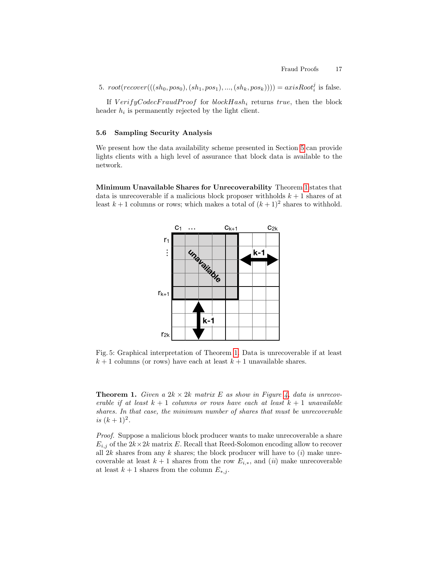5.  $root(recover(((sh_0, pos_0), (sh_1, pos_1), ..., (sh_k, pos_k)))) = axisRoot_i^j$  is false.

If  $VerifyCodecFraudProof$  for  $blockHash_i$  returns true, then the block header  $h_i$  is permanently rejected by the light client.

### <span id="page-16-0"></span>5.6 Sampling Security Analysis

We present how the data availability scheme presented in Section [5](#page-10-0) can provide lights clients with a high level of assurance that block data is available to the network.

Minimum Unavailable Shares for Unrecoverability Theorem [1](#page-16-1) states that data is unrecoverable if a malicious block proposer withholds  $k + 1$  shares of at least  $k+1$  columns or rows; which makes a total of  $(k+1)^2$  shares to withhold.



Fig. 5: Graphical interpretation of Theorem [1.](#page-16-1) Data is unrecoverable if at least  $k + 1$  columns (or rows) have each at least  $k + 1$  unavailable shares.

<span id="page-16-1"></span>**Theorem 1.** Given a  $2k \times 2k$  matrix E as show in Figure [4,](#page-12-1) data is unrecoverable if at least  $k + 1$  columns or rows have each at least  $k + 1$  unavailable shares. In that case, the minimum number of shares that must be unrecoverable is  $(k+1)^2$ .

Proof. Suppose a malicious block producer wants to make unrecoverable a share  $E_{i,j}$  of the  $2k \times 2k$  matrix E. Recall that Reed-Solomon encoding allow to recover all  $2k$  shares from any k shares; the block producer will have to  $(i)$  make unrecoverable at least  $k + 1$  shares from the row  $E_{i,*}$ , and  $(ii)$  make unrecoverable at least  $k + 1$  shares from the column  $E_{*,j}$ .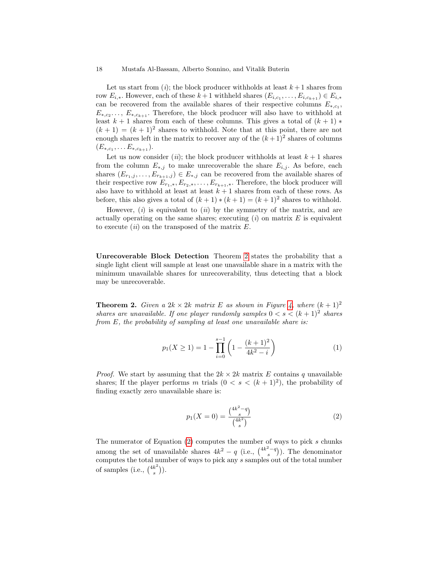Let us start from  $(i)$ ; the block producer withholds at least  $k+1$  shares from row  $E_{i,*}$ . However, each of these  $k+1$  withheld shares  $(E_{i,c_1}, \ldots, E_{i,c_{k+1}}) \in E_{i,*}$ can be recovered from the available shares of their respective columns  $E_{*,c_1}$ ,  $E_{*,c_2,\ldots}, E_{*,c_{k+1}}$ . Therefore, the block producer will also have to withhold at least  $k + 1$  shares from each of these columns. This gives a total of  $(k + 1)$  \*  $(k+1) = (k+1)^2$  shares to withhold. Note that at this point, there are not enough shares left in the matrix to recover any of the  $(k+1)^2$  shares of columns  $(E_{*,c_1}, \ldots E_{*,c_{k+1}}).$ 

Let us now consider (*ii*); the block producer withholds at least  $k + 1$  shares from the column  $E_{*,j}$  to make unrecoverable the share  $E_{i,j}$ . As before, each shares  $(E_{r_1,j},...,E_{r_{k+1},j}) \in E_{*,j}$  can be recovered from the available shares of their respective row  $E_{r_1,*}, E_{r_2,*}, \ldots, E_{r_{k+1},*}$ . Therefore, the block producer will also have to withhold at least at least  $k + 1$  shares from each of these rows. As before, this also gives a total of  $(k + 1) * (k + 1) = (k + 1)^2$  shares to withhold.

However,  $(i)$  is equivalent to  $(ii)$  by the symmetry of the matrix, and are actually operating on the same shares; executing  $(i)$  on matrix E is equivalent to execute  $(ii)$  on the transposed of the matrix  $E$ .

Unrecoverable Block Detection Theorem [2](#page-17-0) states the probability that a single light client will sample at least one unavailable share in a matrix with the minimum unavailable shares for unrecoverability, thus detecting that a block may be unrecoverable.

<span id="page-17-0"></span>**Theorem 2.** Given a  $2k \times 2k$  matrix E as shown in Figure [4,](#page-12-1) where  $(k + 1)^2$ shares are unavailable. If one player randomly samples  $0 < s < (k+1)^2$  shares from E, the probability of sampling at least one unavailable share is:

<span id="page-17-2"></span>
$$
p_1(X \ge 1) = 1 - \prod_{i=0}^{s-1} \left( 1 - \frac{(k+1)^2}{4k^2 - i} \right)
$$
 (1)

*Proof.* We start by assuming that the  $2k \times 2k$  matrix E contains q unavailable shares; If the player performs m trials  $(0 \lt s \lt (k+1)^2)$ , the probability of finding exactly zero unavailable share is:

<span id="page-17-1"></span>
$$
p_1(X=0) = \frac{\binom{4k^2 - q}{s}}{\binom{4k^2}{s}}
$$
\n<sup>(2)</sup>

The numerator of Equation  $(2)$  computes the number of ways to pick s chunks among the set of unavailable shares  $4k^2 - q$  (i.e.,  $\binom{4k^2-q}{s}$ ). The denominator computes the total number of ways to pick any s samples out of the total number of samples (i.e.,  $\binom{4k^2}{s}$  $\binom{k^2}{s}$ .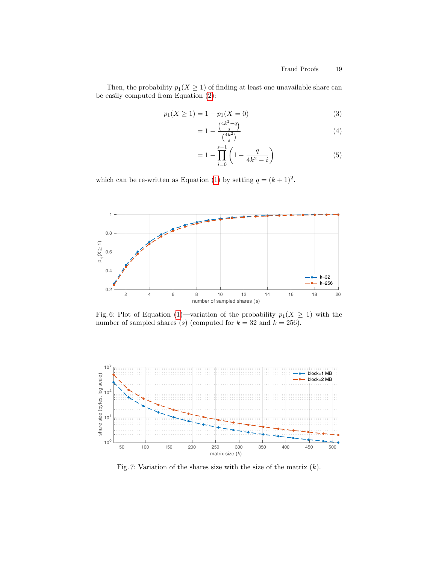Then, the probability  $p_1(X \geq 1)$  of finding at least one unavailable share can be easily computed from Equation [\(2\)](#page-17-1):

$$
p_1(X \ge 1) = 1 - p_1(X = 0)
$$
\n(3)

$$
= 1 - \frac{\binom{4k^2 - q}{s}}{\binom{4k^2}{s}}
$$
(4)

$$
= 1 - \prod_{i=0}^{s-1} \left( 1 - \frac{q}{4k^2 - i} \right) \tag{5}
$$

which can be re-written as Equation [\(1\)](#page-17-2) by setting  $q = (k+1)^2$ .

<span id="page-18-0"></span>

Fig. 6: Plot of Equation [\(1\)](#page-17-2)—variation of the probability  $p_1(X \geq 1)$  with the number of sampled shares (s) (computed for  $k = 32$  and  $k = 256$ ).

<span id="page-18-1"></span>

Fig. 7: Variation of the shares size with the size of the matrix  $(k)$ .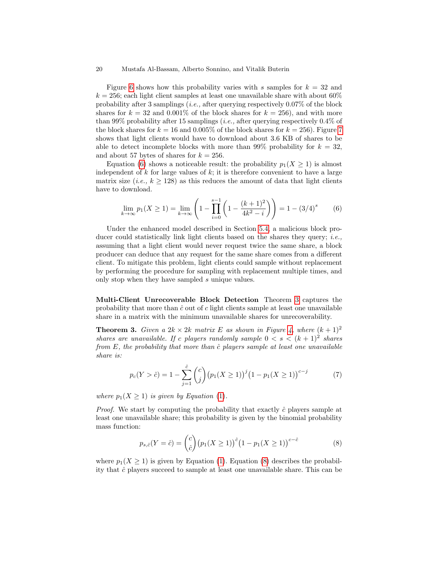Figure [6](#page-18-0) shows how this probability varies with s samples for  $k = 32$  and  $k = 256$ ; each light client samples at least one unavailable share with about 60% probability after 3 samplings (*i.e.*, after querying respectively  $0.07\%$  of the block shares for  $k = 32$  and 0.001% of the block shares for  $k = 256$ , and with more than 99% probability after 15 samplings (*i.e.*, after querying respectively  $0.4\%$  of the block shares for  $k = 16$  and 0.005% of the block shares for  $k = 256$ ). Figure [7](#page-18-1) shows that light clients would have to download about 3.6 KB of shares to be able to detect incomplete blocks with more than 99% probability for  $k = 32$ , and about 57 bytes of shares for  $k = 256$ .

Equation [\(6\)](#page-19-0) shows a noticeable result: the probability  $p_1(X \geq 1)$  is almost independent of  $k$  for large values of  $k$ ; it is therefore convenient to have a large matrix size (*i.e.*,  $k > 128$ ) as this reduces the amount of data that light clients have to download.

<span id="page-19-0"></span>
$$
\lim_{k \to \infty} p_1(X \ge 1) = \lim_{k \to \infty} \left( 1 - \prod_{i=0}^{s-1} \left( 1 - \frac{(k+1)^2}{4k^2 - i} \right) \right) = 1 - (3/4)^s \tag{6}
$$

Under the enhanced model described in Section [5.4,](#page-14-0) a malicious block producer could statistically link light clients based on the shares they query; *i.e.*, assuming that a light client would never request twice the same share, a block producer can deduce that any request for the same share comes from a different client. To mitigate this problem, light clients could sample without replacement by performing the procedure for sampling with replacement multiple times, and only stop when they have sampled s unique values.

Multi-Client Unrecoverable Block Detection Theorem [3](#page-19-1) captures the probability that more than  $\hat{c}$  out of c light clients sample at least one unavailable share in a matrix with the minimum unavailable shares for unrecoverability.

<span id="page-19-1"></span>**Theorem 3.** Given a  $2k \times 2k$  matrix E as shown in Figure [4,](#page-12-1) where  $(k+1)^2$ shares are unavailable. If c players randomly sample  $0 < s < (k+1)^2$  shares from  $E$ , the probability that more than  $\hat{c}$  players sample at least one unavailable share is:

<span id="page-19-3"></span>
$$
p_c(Y > \hat{c}) = 1 - \sum_{j=1}^{\hat{c}} \binom{c}{j} \left(p_1(X \ge 1)\right)^j \left(1 - p_1(X \ge 1)\right)^{c-j} \tag{7}
$$

where  $p_1(X \geq 1)$  is given by Equation [\(1\)](#page-17-2).

*Proof.* We start by computing the probability that exactly  $\hat{c}$  players sample at least one unavailable share; this probability is given by the binomial probability mass function:

<span id="page-19-2"></span>
$$
p_{s,\hat{c}}(Y=\hat{c}) = {c \choose \hat{c}} (p_1(X \ge 1))^{\hat{c}} (1 - p_1(X \ge 1))^{c - \hat{c}}
$$
(8)

where  $p_1(X \geq 1)$  is given by Equation [\(1\)](#page-17-2). Equation [\(8\)](#page-19-2) describes the probability that  $\hat{c}$  players succeed to sample at least one unavailable share. This can be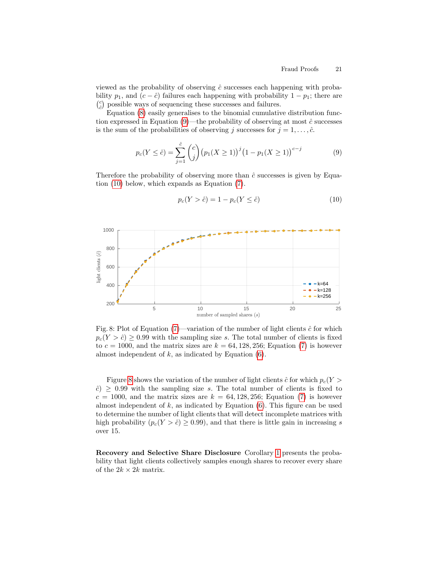viewed as the probability of observing  $\hat{c}$  successes each happening with probability  $p_1$ , and  $(c - \hat{c})$  failures each happening with probability  $1 - p_1$ ; there are  ${c\choose\hat{c}}$  possible ways of sequencing these successes and failures.

Equation [\(8\)](#page-19-2) easily generalises to the binomial cumulative distribution function expressed in Equation  $(9)$ —the probability of observing at most  $\hat{c}$  successes is the sum of the probabilities of observing j successes for  $j = 1, \ldots, \hat{c}$ .

<span id="page-20-0"></span>
$$
p_c(Y \leq \hat{c}) = \sum_{j=1}^{\hat{c}} \binom{c}{j} \left(p_1(X \geq 1)\right)^j \left(1 - p_1(X \geq 1)\right)^{c-j} \tag{9}
$$

Therefore the probability of observing more than  $\hat{c}$  successes is given by Equation [\(10\)](#page-20-1) below, which expands as Equation [\(7\)](#page-19-3).

<span id="page-20-2"></span>

<span id="page-20-1"></span>
$$
p_c(Y > \hat{c}) = 1 - p_c(Y \le \hat{c})
$$
\n(10)

Fig. 8: Plot of Equation [\(7\)](#page-19-3)—variation of the number of light clients  $\hat{c}$  for which  $p_c(Y > \hat{c}) \geq 0.99$  with the sampling size s. The total number of clients is fixed to  $c = 1000$ , and the matrix sizes are  $k = 64, 128, 256$ ; Equation [\(7\)](#page-19-3) is however almost independent of  $k$ , as indicated by Equation  $(6)$ .

Figure [8](#page-20-2) shows the variation of the number of light clients  $\hat{c}$  for which  $p_c(Y >$  $\hat{c}$ )  $\geq$  0.99 with the sampling size s. The total number of clients is fixed to  $c = 1000$ , and the matrix sizes are  $k = 64, 128, 256$ ; Equation [\(7\)](#page-19-3) is however almost independent of  $k$ , as indicated by Equation  $(6)$ . This figure can be used to determine the number of light clients that will detect incomplete matrices with high probability  $(p_c(Y > \hat{c}) \geq 0.99)$ , and that there is little gain in increasing s over 15.

Recovery and Selective Share Disclosure Corollary [1](#page-21-0) presents the probability that light clients collectively samples enough shares to recover every share of the  $2k \times 2k$  matrix.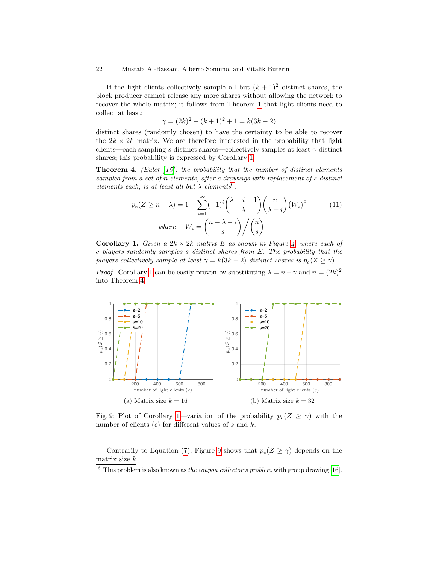If the light clients collectively sample all but  $(k + 1)^2$  distinct shares, the block producer cannot release any more shares without allowing the network to recover the whole matrix; it follows from Theorem [1](#page-16-1) that light clients need to collect at least:

$$
\gamma = (2k)^2 - (k+1)^2 + 1 = k(3k-2)
$$

distinct shares (randomly chosen) to have the certainty to be able to recover the  $2k \times 2k$  matrix. We are therefore interested in the probability that light clients—each sampling s distinct shares—collectively samples at least  $\gamma$  distinct shares; this probability is expressed by Corollary [1.](#page-21-0)

**Theorem 4.** (Euler  $(15)$ ) the probability that the number of distinct elements sampled from a set of n elements, after c drawings with replacement of s distinct elements each, is at least all but  $\lambda$  elements<sup>[6](#page-21-1)</sup>:

<span id="page-21-2"></span>
$$
p_e(Z \ge n - \lambda) = 1 - \sum_{i=1}^{\infty} (-1)^i {\lambda + i - 1 \choose \lambda} {n \choose \lambda + i} (W_i)^c
$$
(11)  
where  $W_i = {\binom{n - \lambda - i}{s}} / {\binom{n}{s}}$ 

<span id="page-21-0"></span>**Corollary 1.** Given a  $2k \times 2k$  matrix E as shown in Figure [4,](#page-12-1) where each of c players randomly samples s distinct shares from E. The probability that the players collectively sample at least  $\gamma = k(3k-2)$  distinct shares is  $p_e(Z \ge \gamma)$ 

*Proof.* Corollary [1](#page-21-0) can be easily proven by substituting  $\lambda = n - \gamma$  and  $n = (2k)^2$ into Theorem [4.](#page-21-2)

<span id="page-21-3"></span>

Fig. 9: Plot of Corollary [1—](#page-21-0)variation of the probability  $p_e(Z \ge \gamma)$  with the number of clients  $(c)$  for different values of s and k.

Contrarily to Equation [\(7\)](#page-19-3), Figure [9](#page-21-3) shows that  $p_e(Z \ge \gamma)$  depends on the matrix size k.

<span id="page-21-1"></span> $6$  This problem is also known as the coupon collector's problem with group drawing [\[16\]](#page-29-11).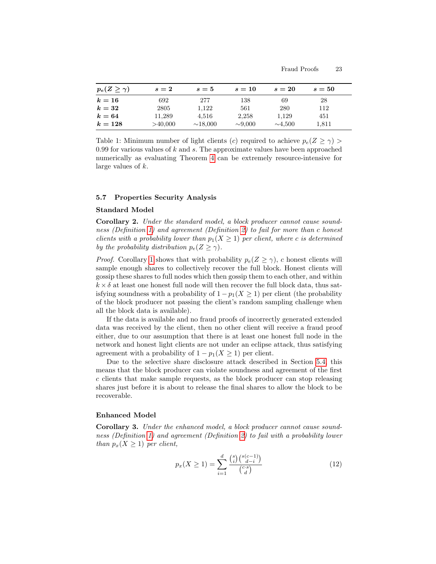| $p_e(Z \geq \gamma)$ | $s=2$   | $s=5$         | $s=10$       | $s=20$       | $s=50$ |  |
|----------------------|---------|---------------|--------------|--------------|--------|--|
| $k=16$               | 692     | 277           | 138          | 69           | 28     |  |
| $k=32$               | 2805    | 1,122         | 561          | 280          | 112    |  |
| $k=64$               | 11,289  | 4,516         | 2,258        | 1,129        | 451    |  |
| $k=128$              | >40,000 | $\sim$ 18,000 | $\sim 9,000$ | $\sim$ 4.500 | 1,811  |  |

Table 1: Minimum number of light clients (c) required to achieve  $p_e(Z \ge \gamma)$ 0.99 for various values of  $k$  and  $s$ . The approximate values have been approached numerically as evaluating Theorem [4](#page-21-2) can be extremely resource-intensive for large values of k.

### <span id="page-22-0"></span>5.7 Properties Security Analysis

### <span id="page-22-2"></span>Standard Model

Corollary 2. Under the standard model, a block producer cannot cause soundness (Definition [1\)](#page-10-2) and agreement (Definition [2\)](#page-11-0) to fail for more than c honest clients with a probability lower than  $p_1(X \geq 1)$  per client, where c is determined by the probability distribution  $p_e(Z \ge \gamma)$ .

*Proof.* Corollary [1](#page-21-0) shows that with probability  $p_e(Z \ge \gamma)$ , c honest clients will sample enough shares to collectively recover the full block. Honest clients will gossip these shares to full nodes which then gossip them to each other, and within  $k \times \delta$  at least one honest full node will then recover the full block data, thus satisfying soundness with a probability of  $1 - p_1(X \ge 1)$  per client (the probability of the block producer not passing the client's random sampling challenge when all the block data is available).

If the data is available and no fraud proofs of incorrectly generated extended data was received by the client, then no other client will receive a fraud proof either, due to our assumption that there is at least one honest full node in the network and honest light clients are not under an eclipse attack, thus satisfying agreement with a probability of  $1 - p_1(X \geq 1)$  per client.

Due to the selective share disclosure attack described in Section [5.4,](#page-14-0) this means that the block producer can violate soundness and agreement of the first c clients that make sample requests, as the block producer can stop releasing shares just before it is about to release the final shares to allow the block to be recoverable.

### <span id="page-22-1"></span>Enhanced Model

Corollary 3. Under the enhanced model, a block producer cannot cause soundness (Definition [1\)](#page-10-2) and agreement (Definition [2\)](#page-11-0) to fail with a probability lower than  $p_x(X \geq 1)$  per client,

<span id="page-22-3"></span>
$$
p_x(X \ge 1) = \sum_{i=1}^d \frac{\binom{s}{i} \binom{s(c-1)}{d-i}}{\binom{c \cdot s}{d}}
$$
(12)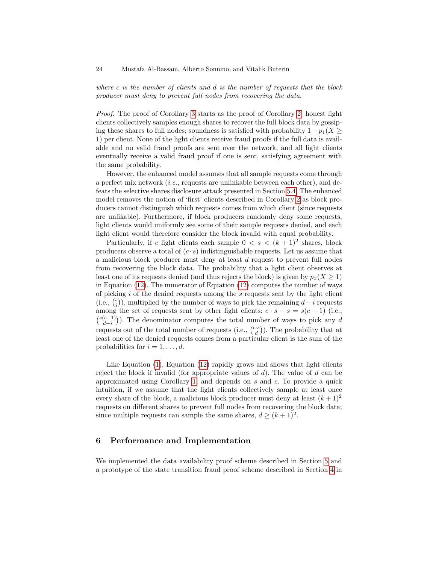where  $c$  is the number of clients and  $d$  is the number of requests that the block producer must deny to prevent full nodes from recovering the data.

Proof. The proof of Corollary [3](#page-22-1) starts as the proof of Corollary [2;](#page-22-2) honest light clients collectively samples enough shares to recover the full block data by gossiping these shares to full nodes; soundness is satisfied with probability  $1 - p_1(X \geq 1)$ 1) per client. None of the light clients receive fraud proofs if the full data is available and no valid fraud proofs are sent over the network, and all light clients eventually receive a valid fraud proof if one is sent, satisfying agreement with the same probability.

However, the enhanced model assumes that all sample requests come through a perfect mix network (i.e., requests are unlinkable between each other), and defeats the selective shares disclosure attack presented in Section [5.4.](#page-14-0) The enhanced model removes the notion of 'first' clients described in Corollary [2](#page-22-2) as block producers cannot distinguish which requests comes from which client (since requests are unlikable). Furthermore, if block producers randomly deny some requests, light clients would uniformly see some of their sample requests denied, and each light client would therefore consider the block invalid with equal probability.

Particularly, if c light clients each sample  $0 < s < (k+1)^2$  shares, block producers observe a total of  $(c \cdot s)$  indistinguishable requests. Let us assume that a malicious block producer must deny at least d request to prevent full nodes from recovering the block data. The probability that a light client observes at least one of its requests denied (and thus rejects the block) is given by  $p_x(X \geq 1)$ in Equation [\(12\)](#page-22-3). The numerator of Equation [\(12\)](#page-22-3) computes the number of ways of picking  $i$  of the denied requests among the  $s$  requests sent by the light client (i.e.,  $\binom{s}{i}$ ), multiplied by the number of ways to pick the remaining  $d-i$  requests among the set of requests sent by other light clients:  $c \cdot s - s = s(c - 1)$  (i.e.,  ${s(c-1) \choose d-i}$ ). The denominator computes the total number of ways to pick any d requests out of the total number of requests (i.e.,  $\binom{c \cdot s}{d}$ ). The probability that at least one of the denied requests comes from a particular client is the sum of the probabilities for  $i = 1, \ldots, d$ .

Like Equation [\(1\)](#page-17-2), Equation [\(12\)](#page-22-3) rapidly grows and shows that light clients reject the block if invalid (for appropriate values of  $d$ ). The value of  $d$  can be approximated using Corollary [1,](#page-21-0) and depends on s and c. To provide a quick intuition, if we assume that the light clients collectively sample at least once every share of the block, a malicious block producer must deny at least  $(k+1)^2$ requests on different shares to prevent full nodes from recovering the block data; since multiple requests can sample the same shares,  $d \geq (k+1)^2$ .

## 6 Performance and Implementation

We implemented the data availability proof scheme described in Section [5](#page-10-0) and a prototype of the state transition fraud proof scheme described in Section [4](#page-6-0) in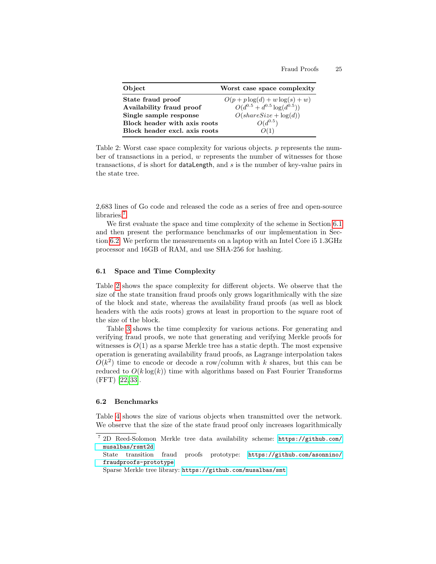<span id="page-24-3"></span>

| Object                        | Worst case space complexity          |
|-------------------------------|--------------------------------------|
| State fraud proof             | $O(p+p \log(d) + w \log(s) + w)$     |
| Availability fraud proof      | $O(d^{0.5} + d^{0.5} \log(d^{0.5}))$ |
| Single sample response        | $O(shareSize + \log(d))$             |
| Block header with axis roots  | $O(d^{0.5})$                         |
| Block header excl. axis roots | O(1)                                 |

Table 2: Worst case space complexity for various objects. p represents the number of transactions in a period, w represents the number of witnesses for those transactions,  $d$  is short for dataLength, and  $s$  is the number of key-value pairs in the state tree.

2,683 lines of Go code and released the code as a series of free and open-source libraries.<sup>[7](#page-24-0)</sup>

We first evaluate the space and time complexity of the scheme in Section [6.1](#page-24-1) and then present the performance benchmarks of our implementation in Section [6.2.](#page-24-2) We perform the measurements on a laptop with an Intel Core i5 1.3GHz processor and 16GB of RAM, and use SHA-256 for hashing.

## <span id="page-24-1"></span>6.1 Space and Time Complexity

Table [2](#page-24-3) shows the space complexity for different objects. We observe that the size of the state transition fraud proofs only grows logarithmically with the size of the block and state, whereas the availability fraud proofs (as well as block headers with the axis roots) grows at least in proportion to the square root of the size of the block.

Table [3](#page-25-0) shows the time complexity for various actions. For generating and verifying fraud proofs, we note that generating and verifying Merkle proofs for witnesses is  $O(1)$  as a sparse Merkle tree has a static depth. The most expensive operation is generating availability fraud proofs, as Lagrange interpolation takes  $O(k^2)$  time to encode or decode a row/column with k shares, but this can be reduced to  $O(k \log(k))$  time with algorithms based on Fast Fourier Transforms (FFT) [\[22,](#page-29-12) [33\]](#page-30-16).

### <span id="page-24-2"></span>6.2 Benchmarks

Table [4](#page-25-1) shows the size of various objects when transmitted over the network. We observe that the size of the state fraud proof only increases logarithmically

<span id="page-24-0"></span><sup>7</sup> 2D Reed-Solomon Merkle tree data availability scheme: [https://github.com/](https://github.com/musalbas/rsmt2d) [musalbas/rsmt2d](https://github.com/musalbas/rsmt2d)

State transition fraud proofs prototype: [https://github.com/asonnino/](https://github.com/asonnino/fraudproofs-prototype) [fraudproofs-prototype](https://github.com/asonnino/fraudproofs-prototype)

Sparse Merkle tree library: <https://github.com/musalbas/smt>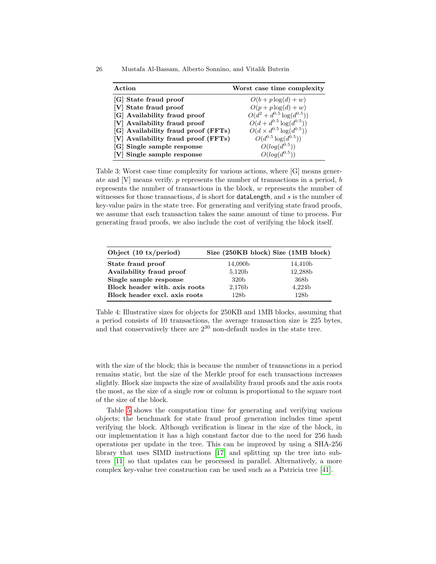| Action                              | Worst case time complexity          |
|-------------------------------------|-------------------------------------|
| [G] State fraud proof               | $O(b+p \log(d)+w)$                  |
| [V] State fraud proof               | $O(p+p \log(d)+w)$                  |
| [G] Availability fraud proof        | $O(d^2 + d^{0.5} \log(d^{0.5}))$    |
| [V] Availability fraud proof        | $O(d+d^{0.5}\log(d^{0.5}))$         |
| [G] Availability fraud proof (FFTs) | $O(d \times d^{0.5} \log(d^{0.5}))$ |
| [V] Availability fraud proof (FFTs) | $O(d^{0.5} \log(d^{0.5}))$          |

<span id="page-25-0"></span>26 Mustafa Al-Bassam, Alberto Sonnino, and Vitalik Buterin

 $[G]$  Single sample response

 $[V]$  Single sample response

Table 3: Worst case time complexity for various actions, where [G] means generate and  $[V]$  means verify.  $p$  represents the number of transactions in a period,  $b$ represents the number of transactions in the block, w represents the number of witnesses for those transactions,  $d$  is short for **dataLength**, and  $s$  is the number of key-value pairs in the state tree. For generating and verifying state fraud proofs, we assume that each transaction takes the same amount of time to process. For generating fraud proofs, we also include the cost of verifying the block itself.

 $^{0.5})$ 

 $^{0.5})$ 

<span id="page-25-1"></span>

| Object $(10 \text{ tx/period})$ | Size (250KB block) Size (1MB block) |                  |
|---------------------------------|-------------------------------------|------------------|
| State fraud proof               | 14,090b                             | 14,410b          |
| Availability fraud proof        | 5,120b                              | 12,288b          |
| Single sample response          | 320 <sub>b</sub>                    | 368b             |
| Block header with, axis roots   | 2,176b                              | 4,224b           |
| Block header excl. axis roots   | 128 <sub>b</sub>                    | 128 <sub>b</sub> |

Table 4: Illustrative sizes for objects for 250KB and 1MB blocks, assuming that a period consists of 10 transactions, the average transaction size is 225 bytes, and that conservatively there are 2<sup>30</sup> non-default nodes in the state tree.

with the size of the block; this is because the number of transactions in a period remains static, but the size of the Merkle proof for each transactions increases slightly. Block size impacts the size of availability fraud proofs and the axis roots the most, as the size of a single row or column is proportional to the square root of the size of the block.

Table [5](#page-26-1) shows the computation time for generating and verifying various objects; the benchmark for state fraud proof generation includes time spent verifying the block. Although verification is linear in the size of the block, in our implementation it has a high constant factor due to the need for 256 hash operations per update in the tree. This can be improved by using a SHA-256 library that uses SIMD instructions [\[17\]](#page-29-13) and splitting up the tree into subtrees [\[11\]](#page-29-14) so that updates can be processed in parallel. Alternatively, a more complex key-value tree construction can be used such as a Patricia tree [\[41\]](#page-30-3).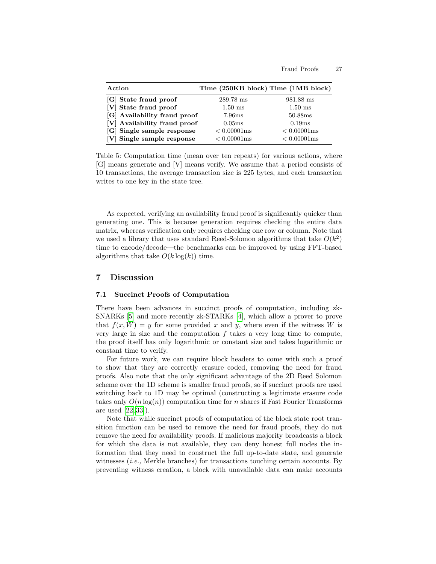<span id="page-26-1"></span>

| Action                       | Time (250KB block) Time (1MB block) |                |
|------------------------------|-------------------------------------|----------------|
| [G] State fraud proof        | 289.78 ms                           | 981.88 ms      |
| [V] State fraud proof        | $1.50$ ms                           | $1.50$ ms      |
| [G] Availability fraud proof | 7.96ms                              | 50.88ms        |
| [V] Availability fraud proof | 0.05ms                              | 0.19ms         |
| [G] Single sample response   | $< 0.00001$ ms                      | $< 0.00001$ ms |
| [V] Single sample response   | $< 0.00001$ ms                      | $< 0.00001$ ms |

Table 5: Computation time (mean over ten repeats) for various actions, where [G] means generate and [V] means verify. We assume that a period consists of 10 transactions, the average transaction size is 225 bytes, and each transaction writes to one key in the state tree.

As expected, verifying an availability fraud proof is significantly quicker than generating one. This is because generation requires checking the entire data matrix, whereas verification only requires checking one row or column. Note that we used a library that uses standard Reed-Solomon algorithms that take  $O(k^2)$ time to encode/decode—the benchmarks can be improved by using FFT-based algorithms that take  $O(k \log(k))$  time.

## 7 Discussion

## <span id="page-26-0"></span>7.1 Succinct Proofs of Computation

There have been advances in succinct proofs of computation, including zk-SNARKs [\[5\]](#page-28-4) and more recently zk-STARKs [\[4\]](#page-28-5), which allow a prover to prove that  $f(x, W) = y$  for some provided x and y, where even if the witness W is very large in size and the computation  $f$  takes a very long time to compute, the proof itself has only logarithmic or constant size and takes logarithmic or constant time to verify.

For future work, we can require block headers to come with such a proof to show that they are correctly erasure coded, removing the need for fraud proofs. Also note that the only significant advantage of the 2D Reed Solomon scheme over the 1D scheme is smaller fraud proofs, so if succinct proofs are used switching back to 1D may be optimal (constructing a legitimate erasure code takes only  $O(n \log(n))$  computation time for n shares if Fast Fourier Transforms are used [\[22,](#page-29-12) [33\]](#page-30-16)).

Note that while succinct proofs of computation of the block state root transition function can be used to remove the need for fraud proofs, they do not remove the need for availability proofs. If malicious majority broadcasts a block for which the data is not available, they can deny honest full nodes the information that they need to construct the full up-to-date state, and generate witnesses *(i.e., Merkle branches)* for transactions touching certain accounts. By preventing witness creation, a block with unavailable data can make accounts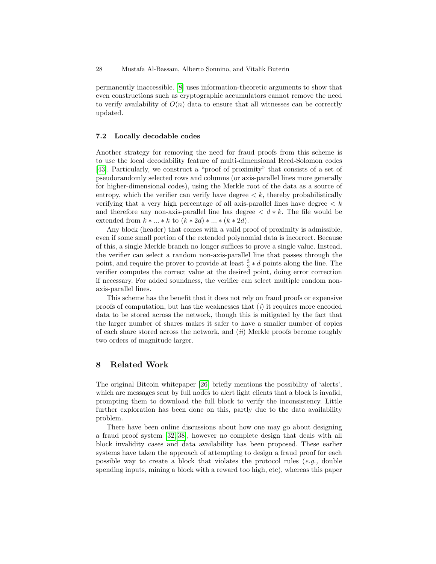permanently inaccessible. [\[8\]](#page-29-15) uses information-theoretic arguments to show that even constructions such as cryptographic accumulators cannot remove the need to verify availability of  $O(n)$  data to ensure that all witnesses can be correctly updated.

## 7.2 Locally decodable codes

Another strategy for removing the need for fraud proofs from this scheme is to use the local decodability feature of multi-dimensional Reed-Solomon codes [\[43\]](#page-31-1). Particularly, we construct a "proof of proximity" that consists of a set of pseudorandomly selected rows and columns (or axis-parallel lines more generally for higher-dimensional codes), using the Merkle root of the data as a source of entropy, which the verifier can verify have degree  $\lt k$ , thereby probabilistically verifying that a very high percentage of all axis-parallel lines have degree  $\lt k$ and therefore any non-axis-parallel line has degree  $\langle d * k$ . The file would be extended from  $k * ... * k$  to  $(k * 2d) * ... * (k * 2d)$ .

Any block (header) that comes with a valid proof of proximity is admissible, even if some small portion of the extended polynomial data is incorrect. Because of this, a single Merkle branch no longer suffices to prove a single value. Instead, the verifier can select a random non-axis-parallel line that passes through the point, and require the prover to provide at least  $\frac{3}{2} * d$  points along the line. The verifier computes the correct value at the desired point, doing error correction if necessary. For added soundness, the verifier can select multiple random nonaxis-parallel lines.

This scheme has the benefit that it does not rely on fraud proofs or expensive proofs of computation, but has the weaknesses that  $(i)$  it requires more encoded data to be stored across the network, though this is mitigated by the fact that the larger number of shares makes it safer to have a smaller number of copies of each share stored across the network, and (ii) Merkle proofs become roughly two orders of magnitude larger.

## 8 Related Work

The original Bitcoin whitepaper [\[26\]](#page-30-0) briefly mentions the possibility of 'alerts', which are messages sent by full nodes to alert light clients that a block is invalid, prompting them to download the full block to verify the inconsistency. Little further exploration has been done on this, partly due to the data availability problem.

There have been online discussions about how one may go about designing a fraud proof system [\[32,](#page-30-17) [38\]](#page-30-18), however no complete design that deals with all block invalidity cases and data availability has been proposed. These earlier systems have taken the approach of attempting to design a fraud proof for each possible way to create a block that violates the protocol rules (e.g., double spending inputs, mining a block with a reward too high, etc), whereas this paper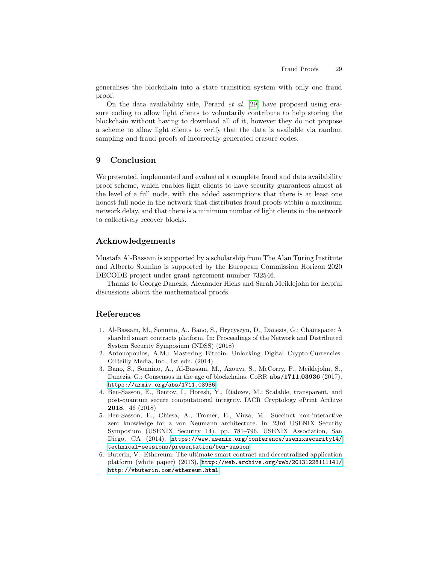generalises the blockchain into a state transition system with only one fraud proof.

On the data availability side, Perard et al. [\[29\]](#page-30-19) have proposed using erasure coding to allow light clients to voluntarily contribute to help storing the blockchain without having to download all of it, however they do not propose a scheme to allow light clients to verify that the data is available via random sampling and fraud proofs of incorrectly generated erasure codes.

## 9 Conclusion

We presented, implemented and evaluated a complete fraud and data availability proof scheme, which enables light clients to have security guarantees almost at the level of a full node, with the added assumptions that there is at least one honest full node in the network that distributes fraud proofs within a maximum network delay, and that there is a minimum number of light clients in the network to collectively recover blocks.

## Acknowledgements

Mustafa Al-Bassam is supported by a scholarship from The Alan Turing Institute and Alberto Sonnino is supported by the European Commission Horizon 2020 DECODE project under grant agreement number 732546.

Thanks to George Danezis, Alexander Hicks and Sarah Meiklejohn for helpful discussions about the mathematical proofs.

## References

- <span id="page-28-2"></span>1. Al-Bassam, M., Sonnino, A., Bano, S., Hrycyszyn, D., Danezis, G.: Chainspace: A sharded smart contracts platform. In: Proceedings of the Network and Distributed System Security Symposium (NDSS) (2018)
- <span id="page-28-1"></span>2. Antonopoulos, A.M.: Mastering Bitcoin: Unlocking Digital Crypto-Currencies. O'Reilly Media, Inc., 1st edn. (2014)
- <span id="page-28-3"></span>3. Bano, S., Sonnino, A., Al-Bassam, M., Azouvi, S., McCorry, P., Meiklejohn, S., Danezis, G.: Consensus in the age of blockchains. CoRR abs/1711.03936 (2017), <https://arxiv.org/abs/1711.03936>
- <span id="page-28-5"></span>4. Ben-Sasson, E., Bentov, I., Horesh, Y., Riabzev, M.: Scalable, transparent, and post-quantum secure computational integrity. IACR Cryptology ePrint Archive 2018, 46 (2018)
- <span id="page-28-4"></span>5. Ben-Sasson, E., Chiesa, A., Tromer, E., Virza, M.: Succinct non-interactive zero knowledge for a von Neumann architecture. In: 23rd USENIX Security Symposium (USENIX Security 14). pp. 781–796. USENIX Association, San Diego, CA (2014), [https://www.usenix.org/conference/usenixsecurity14/](https://www.usenix.org/conference/usenixsecurity14/technical-sessions/presentation/ben-sasson) [technical-sessions/presentation/ben-sasson](https://www.usenix.org/conference/usenixsecurity14/technical-sessions/presentation/ben-sasson)
- <span id="page-28-0"></span>6. Buterin, V.: Ethereum: The ultimate smart contract and decentralized application platform (white paper) (2013), [http://web.archive.org/web/20131228111141/](http://web.archive.org/web/20131228111141/http://vbuterin.com/ethereum.html) [http://vbuterin.com/ethereum.html](http://web.archive.org/web/20131228111141/http://vbuterin.com/ethereum.html)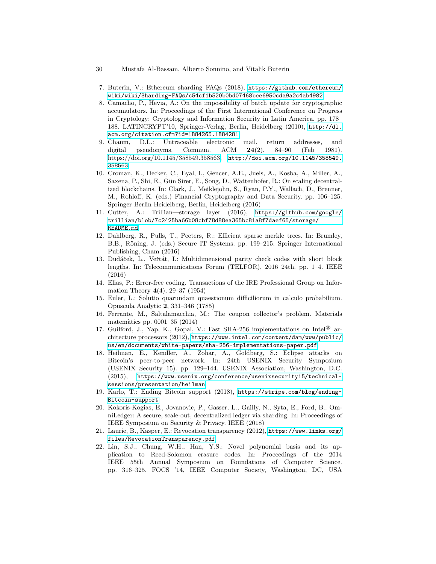- <span id="page-29-1"></span>7. Buterin, V.: Ethereum sharding FAQs (2018), [https://github.com/ethereum/](https://github.com/ethereum/wiki/wiki/Sharding-FAQs/c54cf1b520b0bd07468bee6950cda9a2c4ab4982) [wiki/wiki/Sharding-FAQs/c54cf1b520b0bd07468bee6950cda9a2c4ab4982](https://github.com/ethereum/wiki/wiki/Sharding-FAQs/c54cf1b520b0bd07468bee6950cda9a2c4ab4982)
- <span id="page-29-15"></span>8. Camacho, P., Hevia, A.: On the impossibility of batch update for cryptographic accumulators. In: Proceedings of the First International Conference on Progress in Cryptology: Cryptology and Information Security in Latin America. pp. 178– 188. LATINCRYPT'10, Springer-Verlag, Berlin, Heidelberg (2010), [http://dl.](http://dl.acm.org/citation.cfm?id=1884265.1884281) [acm.org/citation.cfm?id=1884265.1884281](http://dl.acm.org/citation.cfm?id=1884265.1884281)
- <span id="page-29-9"></span>9. Chaum, D.L.: Untraceable electronic mail, return addresses, and digital pseudonyms. Commun. ACM 24(2), 84–90 (Feb 1981). [https://doi.org/10.1145/358549.358563,](https://doi.org/10.1145/358549.358563) [http://doi.acm.org/10.1145/358549.](http://doi.acm.org/10.1145/358549.358563) [358563](http://doi.acm.org/10.1145/358549.358563)
- <span id="page-29-3"></span>10. Croman, K., Decker, C., Eyal, I., Gencer, A.E., Juels, A., Kosba, A., Miller, A., Saxena, P., Shi, E., Gün Sirer, E., Song, D., Wattenhofer, R.: On scaling decentralized blockchains. In: Clark, J., Meiklejohn, S., Ryan, P.Y., Wallach, D., Brenner, M., Rohloff, K. (eds.) Financial Cryptography and Data Security. pp. 106–125. Springer Berlin Heidelberg, Berlin, Heidelberg (2016)
- <span id="page-29-14"></span>11. Cutter, A.: Trillian—storage layer (2016), [https://github.com/google/](https://github.com/google/trillian/blob/7c2425ba66b08cbf78d88ea365bc81a8f7daef65/storage/README.md) [trillian/blob/7c2425ba66b08cbf78d88ea365bc81a8f7daef65/storage/](https://github.com/google/trillian/blob/7c2425ba66b08cbf78d88ea365bc81a8f7daef65/storage/README.md) [README.md](https://github.com/google/trillian/blob/7c2425ba66b08cbf78d88ea365bc81a8f7daef65/storage/README.md)
- <span id="page-29-4"></span>12. Dahlberg, R., Pulls, T., Peeters, R.: Efficient sparse merkle trees. In: Brumley, B.B., Röning, J. (eds.) Secure IT Systems. pp. 199–215. Springer International Publishing, Cham (2016)
- <span id="page-29-7"></span>13. Dudáček, L., Veřtát, I.: Multidimensional parity check codes with short block lengths. In: Telecommunications Forum (TELFOR), 2016 24th. pp. 1–4. IEEE (2016)
- <span id="page-29-6"></span>14. Elias, P.: Error-free coding. Transactions of the IRE Professional Group on Information Theory 4(4), 29–37 (1954)
- <span id="page-29-10"></span>15. Euler, L.: Solutio quarundam quaestionum difficiliorum in calculo probabilium. Opuscula Analytic 2, 331–346 (1785)
- <span id="page-29-11"></span>16. Ferrante, M., Saltalamacchia, M.: The coupon collector's problem. Materials matem`atics pp. 0001–35 (2014)
- <span id="page-29-13"></span>17. Guilford, J., Yap, K., Gopal, V.: Fast SHA-256 implementations on Intel<sup>®</sup> architecture processors (2012), [https://www.intel.com/content/dam/www/public/](https://www.intel.com/content/dam/www/public/us/en/documents/white-papers/sha-256-implementations-paper.pdf) [us/en/documents/white-papers/sha-256-implementations-paper.pdf](https://www.intel.com/content/dam/www/public/us/en/documents/white-papers/sha-256-implementations-paper.pdf)
- <span id="page-29-8"></span>18. Heilman, E., Kendler, A., Zohar, A., Goldberg, S.: Eclipse attacks on Bitcoin's peer-to-peer network. In: 24th USENIX Security Symposium (USENIX Security 15). pp. 129–144. USENIX Association, Washington, D.C. (2015), [https://www.usenix.org/conference/usenixsecurity15/technical](https://www.usenix.org/conference/usenixsecurity15/technical-sessions/presentation/heilman)[sessions/presentation/heilman](https://www.usenix.org/conference/usenixsecurity15/technical-sessions/presentation/heilman)
- <span id="page-29-0"></span>19. Karlo, T.: Ending Bitcoin support (2018), [https://stripe.com/blog/ending-](https://stripe.com/blog/ending-Bitcoin-support)[Bitcoin-support](https://stripe.com/blog/ending-Bitcoin-support)
- <span id="page-29-2"></span>20. Kokoris-Kogias, E., Jovanovic, P., Gasser, L., Gailly, N., Syta, E., Ford, B.: OmniLedger: A secure, scale-out, decentralized ledger via sharding. In: Proceedings of IEEE Symposium on Security & Privacy. IEEE (2018)
- <span id="page-29-5"></span>21. Laurie, B., Kasper, E.: Revocation transparency (2012), [https://www.links.org/](https://www.links.org/files/RevocationTransparency.pdf) [files/RevocationTransparency.pdf](https://www.links.org/files/RevocationTransparency.pdf)
- <span id="page-29-12"></span>22. Lin, S.J., Chung, W.H., Han, Y.S.: Novel polynomial basis and its application to Reed-Solomon erasure codes. In: Proceedings of the 2014 IEEE 55th Annual Symposium on Foundations of Computer Science. pp. 316–325. FOCS '14, IEEE Computer Society, Washington, DC, USA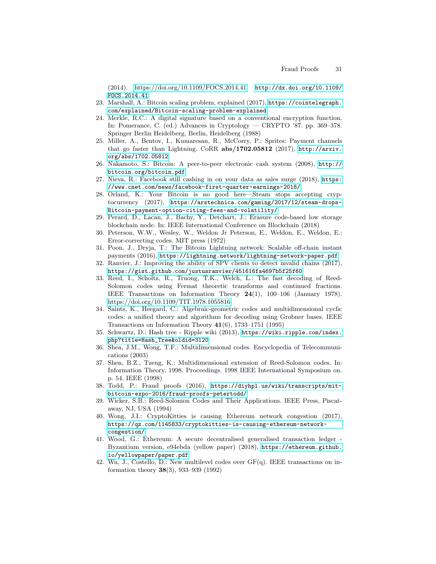(2014). [https://doi.org/10.1109/FOCS.2014.41,](https://doi.org/10.1109/FOCS.2014.41) [http://dx.doi.org/10.1109/](http://dx.doi.org/10.1109/FOCS.2014.41) [FOCS.2014.41](http://dx.doi.org/10.1109/FOCS.2014.41)

- <span id="page-30-4"></span>23. Marshall, A.: Bitcoin scaling problem, explained (2017), [https://cointelegraph.](https://cointelegraph.com/explained/Bitcoin-scaling-problem-explained) [com/explained/Bitcoin-scaling-problem-explained](https://cointelegraph.com/explained/Bitcoin-scaling-problem-explained)
- <span id="page-30-8"></span>24. Merkle, R.C.: A digital signature based on a conventional encryption function. In: Pomerance, C. (ed.) Advances in Cryptology — CRYPTO '87. pp. 369–378. Springer Berlin Heidelberg, Berlin, Heidelberg (1988)
- <span id="page-30-6"></span>25. Miller, A., Bentov, I., Kumaresan, R., McCorry, P.: Sprites: Payment channels that go faster than Lightning. CoRR abs/1702.05812 (2017), [http://arxiv.](http://arxiv.org/abs/1702.05812) [org/abs/1702.05812](http://arxiv.org/abs/1702.05812)
- <span id="page-30-0"></span>26. Nakamoto, S.: Bitcoin: A peer-to-peer electronic cash system (2008), [http://](http://bitcoin.org/bitcoin.pdf) [bitcoin.org/bitcoin.pdf](http://bitcoin.org/bitcoin.pdf)
- <span id="page-30-7"></span>27. Nieva, R.: Facebook still cashing in on your data as sales surge (2018), [https:](https://www.cnet.com/news/facebook-first-quarter-earnings-2018/) [//www.cnet.com/news/facebook-first-quarter-earnings-2018/](https://www.cnet.com/news/facebook-first-quarter-earnings-2018/)
- <span id="page-30-1"></span>28. Orland, K.: Your Bitcoin is no good here—Steam stops accepting cryptocurrency (2017), [https://arstechnica.com/gaming/2017/12/steam-drops-](https://arstechnica.com/gaming/2017/12/steam-drops-Bitcoin-payment-option-citing-fees-and-volatility/)[Bitcoin-payment-option-citing-fees-and-volatility/](https://arstechnica.com/gaming/2017/12/steam-drops-Bitcoin-payment-option-citing-fees-and-volatility/)
- <span id="page-30-19"></span>29. Perard, D., Lacan, J., Bachy, Y., Detchart, J.: Erasure code-based low storage blockchain node. In: IEEE International Conference on Blockchain (2018)
- <span id="page-30-10"></span>30. Peterson, W.W., Wesley, W., Weldon Jr Peterson, E., Weldon, E., Weldon, E.: Error-correcting codes. MIT press (1972)
- <span id="page-30-5"></span>31. Poon, J., Dryja, T.: The Bitcoin Lightning network: Scalable off-chain instant payments (2016), <https://lightning.network/lightning-network-paper.pdf>
- <span id="page-30-17"></span>32. Ranvier, J.: Improving the ability of SPV clients to detect invalid chains (2017), <https://gist.github.com/justusranvier/451616fa4697b5f25f60>
- <span id="page-30-16"></span>33. Reed, I., Scholtz, R., Truong, T.K., Welch, L.: The fast decoding of Reed-Solomon codes using Fermat theoretic transforms and continued fractions. IEEE Transactions on Information Theory 24(1), 100–106 (January 1978). <https://doi.org/10.1109/TIT.1978.1055816>
- <span id="page-30-13"></span>34. Saints, K., Heegard, C.: Algebraic-geometric codes and multidimensional cyclic codes: a unified theory and algorithms for decoding using Grobner bases. IEEE Transactions on Information Theory 41(6), 1733–1751 (1995)
- <span id="page-30-9"></span>35. Schwartz, D.: Hash tree - Ripple wiki (2013), [https://wiki.ripple.com/index.](https://wiki.ripple.com/index.php?title=Hash_Tree&oldid=3120) [php?title=Hash\\_Tree&oldid=3120](https://wiki.ripple.com/index.php?title=Hash_Tree&oldid=3120)
- <span id="page-30-12"></span>36. Shea, J.M., Wong, T.F.: Multidimensional codes. Encyclopedia of Telecommunications (2003)
- <span id="page-30-14"></span>37. Shen, B.Z., Tzeng, K.: Multidimensional extension of Reed-Solomon codes. In: Information Theory, 1998. Proceedings. 1998 IEEE International Symposium on. p. 54. IEEE (1998)
- <span id="page-30-18"></span>38. Todd, P.: Fraud proofs (2016), [https://diyhpl.us/wiki/transcripts/mit](https://diyhpl.us/wiki/transcripts/mit-bitcoin-expo-2016/fraud-proofs-petertodd/)[bitcoin-expo-2016/fraud-proofs-petertodd/](https://diyhpl.us/wiki/transcripts/mit-bitcoin-expo-2016/fraud-proofs-petertodd/)
- <span id="page-30-11"></span>39. Wicker, S.B.: Reed-Solomon Codes and Their Applications. IEEE Press, Piscataway, NJ, USA (1994)
- <span id="page-30-2"></span>40. Wong, J.I.: CryptoKitties is causing Ethereum network congestion (2017), [https://qz.com/1145833/cryptokitties-is-causing-ethereum-network](https://qz.com/1145833/cryptokitties-is-causing-ethereum-network-congestion/)[congestion/](https://qz.com/1145833/cryptokitties-is-causing-ethereum-network-congestion/)
- <span id="page-30-3"></span>41. Wood, G.: Ethereum: A secure decentralised generalised transaction ledger - Byzantium version, e94ebda (yellow paper) (2018), [https://ethereum.github.](https://ethereum.github.io/yellowpaper/paper.pdf) [io/yellowpaper/paper.pdf](https://ethereum.github.io/yellowpaper/paper.pdf)
- <span id="page-30-15"></span>42. Wu, J., Costello, D.: New multilevel codes over GF(q). IEEE transactions on information theory 38(3), 933–939 (1992)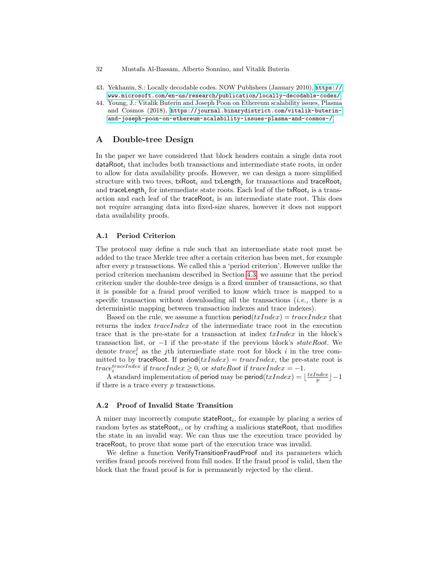- 32 Mustafa Al-Bassam, Alberto Sonnino, and Vitalik Buterin
- <span id="page-31-1"></span>43. Yekhanin, S.: Locally decodable codes. NOW Publishers (January 2010), [https://](https://www.microsoft.com/en-us/research/publication/locally-decodable-codes/) [www.microsoft.com/en-us/research/publication/locally-decodable-codes/](https://www.microsoft.com/en-us/research/publication/locally-decodable-codes/)
- <span id="page-31-0"></span>44. Young, J.: Vitalik Buterin and Joseph Poon on Ethereum scalability issues, Plasma and Cosmos (2018), [https://journal.binarydistrict.com/vitalik-buterin](https://journal.binarydistrict.com/vitalik-buterin-and-joseph-poon-on-ethereum-scalability-issues-plasma-and-cosmos-/)[and-joseph-poon-on-ethereum-scalability-issues-plasma-and-cosmos-/](https://journal.binarydistrict.com/vitalik-buterin-and-joseph-poon-on-ethereum-scalability-issues-plasma-and-cosmos-/)

## A Double-tree Design

In the paper we have considered that block headers contain a single data root  $dataRoot<sub>i</sub>$  that includes both transactions and intermediate state roots, in order to allow for data availability proofs. However, we can design a more simplified structure with two trees,  $\textsf{txRoot}_i$  and  $\textsf{txLength}_i$  for transactions and  $\textsf{traceRoot}_i$ and traceLength<sub>i</sub> for intermediate state roots. Each leaf of the txRoot<sub>i</sub> is a transaction and each leaf of the **traceRoot**<sub>i</sub> is an intermediate state root. This does not require arranging data into fixed-size shares, however it does not support data availability proofs.

## A.1 Period Criterion

The protocol may define a rule such that an intermediate state root must be added to the trace Merkle tree after a certain criterion has been met, for example after every p transactions. We called this a 'period criterion'. However unlike the period criterion mechanism described in Section [4.3,](#page-8-0) we assume that the period criterion under the double-tree design is a fixed number of transactions, so that it is possible for a fraud proof verified to know which trace is mapped to a specific transaction without downloading all the transactions  $(i.e.,$  there is a deterministic mapping between transaction indexes and trace indexes).

Based on the rule, we assume a function period $(txIndex) = traceIndex$  that returns the index traceIndex of the intermediate trace root in the execution trace that is the pre-state for a transaction at index  $txIndex$  in the block's transaction list, or  $-1$  if the pre-state if the previous block's stateRoot. We denote  $trace_i^j$  as the jth intermediate state root for block i in the tree committed to by traceRoot. If  $period(txIndex) = traceIndex$ , the pre-state root is  $trace_i^{traceIndex}$  if  $traceIndex \geq 0$ , or  $stateRoot$  if  $traceIndex = -1$ .

A standard implementation of period may be period $(txIndex) = \lfloor \frac{txIndex}{p} \rfloor - 1$ if there is a trace every  $p$  transactions.

### A.2 Proof of Invalid State Transition

A miner may incorrectly compute  $stateRoot<sub>i</sub>$ , for example by placing a series of  $\mathop{\mathrm{random}}$  bytes as  $\mathop{\mathrm{stateRoot}}\nolimits_i,$  or by  $\mathop{\mathrm{crafting}}\nolimits$  a malicious  $\mathop{\mathrm{stateRoot}}\nolimits_i$  that modifies the state in an invalid way. We can thus use the execution trace provided by traceRoot<sub>i</sub> to prove that some part of the execution trace was invalid.

We define a function VerifyTransitionFraudProof and its parameters which verifies fraud proofs received from full nodes. If the fraud proof is valid, then the block that the fraud proof is for is permanently rejected by the client.